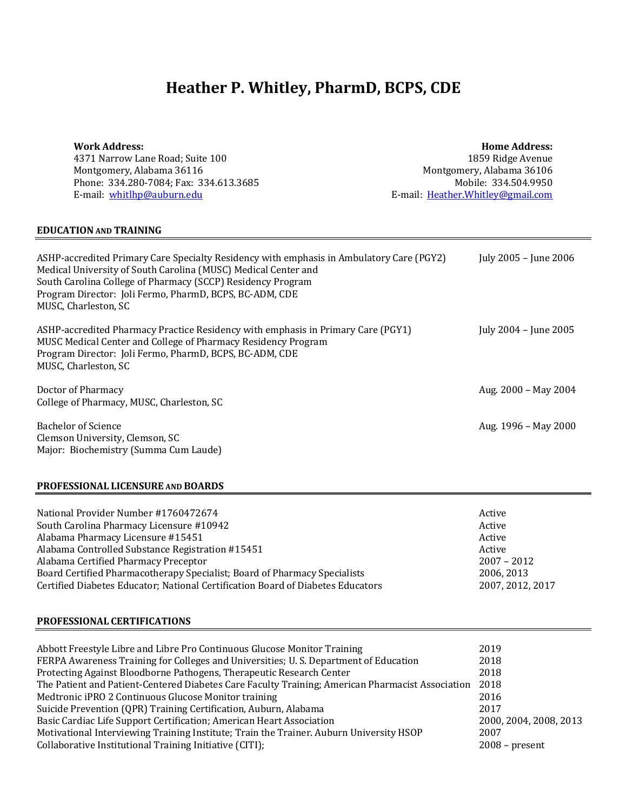# **Heather P. Whitley, PharmD, BCPS, CDE**

| Work Address: |  |
|---------------|--|
|---------------|--|

4371 Narrow Lane Road; Suite 100 Montgomery, Alabama 36116 Phone: 334.280-7084; Fax: 334.613.3685 E-mail: whitlhp@auburn.edu

**Home Address:** 1859 Ridge Avenue Montgomery, Alabama 36106 Mobile: 334.504.9950 E-mail: Heather.Whitley@gmail.com

#### **EDUCATION AND TRAINING**

| ASHP-accredited Primary Care Specialty Residency with emphasis in Ambulatory Care (PGY2)<br>Medical University of South Carolina (MUSC) Medical Center and<br>South Carolina College of Pharmacy (SCCP) Residency Program<br>Program Director: Joli Fermo, PharmD, BCPS, BC-ADM, CDE<br>MUSC, Charleston, SC | July 2005 - June 2006 |
|--------------------------------------------------------------------------------------------------------------------------------------------------------------------------------------------------------------------------------------------------------------------------------------------------------------|-----------------------|
| ASHP-accredited Pharmacy Practice Residency with emphasis in Primary Care (PGY1)<br>MUSC Medical Center and College of Pharmacy Residency Program<br>Program Director: Joli Fermo, PharmD, BCPS, BC-ADM, CDE<br>MUSC, Charleston, SC                                                                         | July 2004 - June 2005 |
| Doctor of Pharmacy<br>College of Pharmacy, MUSC, Charleston, SC                                                                                                                                                                                                                                              | Aug. 2000 – May 2004  |
| <b>Bachelor of Science</b><br>Clemson University, Clemson, SC<br>Major: Biochemistry (Summa Cum Laude)                                                                                                                                                                                                       | Aug. 1996 – May 2000  |

#### **PROFESSIONAL LICENSURE AND BOARDS**

| National Provider Number #1760472674                                            | Active           |
|---------------------------------------------------------------------------------|------------------|
| South Carolina Pharmacy Licensure #10942                                        | Active           |
| Alabama Pharmacy Licensure #15451                                               | Active           |
| Alabama Controlled Substance Registration #15451                                | Active           |
| Alabama Certified Pharmacy Preceptor                                            | $2007 - 2012$    |
| Board Certified Pharmacotherapy Specialist; Board of Pharmacy Specialists       | 2006, 2013       |
| Certified Diabetes Educator; National Certification Board of Diabetes Educators | 2007, 2012, 2017 |

#### **PROFESSIONAL CERTIFICATIONS**

| Abbott Freestyle Libre and Libre Pro Continuous Glucose Monitor Training                         | 2019                |
|--------------------------------------------------------------------------------------------------|---------------------|
| FERPA Awareness Training for Colleges and Universities; U.S. Department of Education             | 2018                |
| Protecting Against Bloodborne Pathogens, Therapeutic Research Center                             | 2018                |
| The Patient and Patient-Centered Diabetes Care Faculty Training; American Pharmacist Association | 2018                |
| Medtronic iPRO 2 Continuous Glucose Monitor training                                             | 2016                |
| Suicide Prevention (QPR) Training Certification, Auburn, Alabama                                 | 2017                |
| Basic Cardiac Life Support Certification; American Heart Association                             | 2000.2004.2008.2013 |
| Motivational Interviewing Training Institute; Train the Trainer. Auburn University HSOP          | 2007                |
| Collaborative Institutional Training Initiative (CITI);                                          | $2008$ – present    |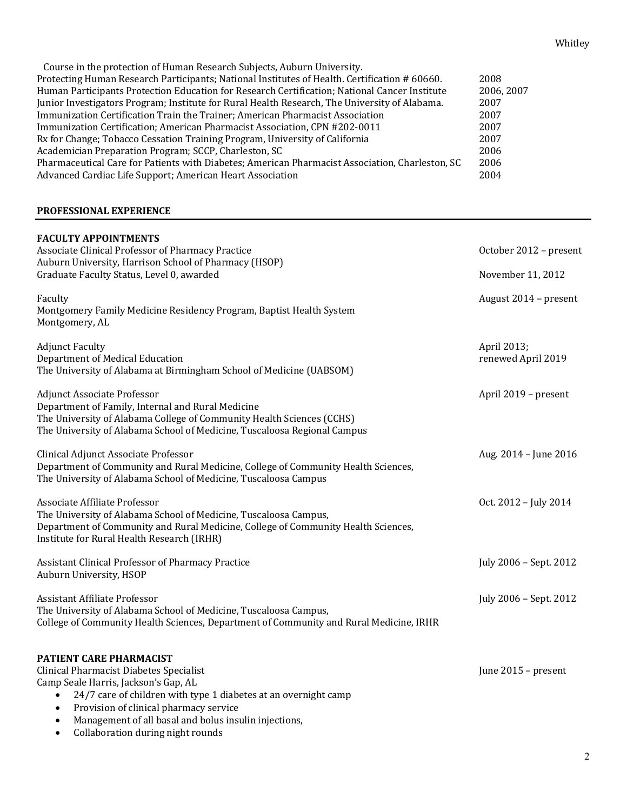| Course in the protection of Human Research Subjects, Auburn University.                         |            |
|-------------------------------------------------------------------------------------------------|------------|
| Protecting Human Research Participants; National Institutes of Health. Certification # 60660.   | 2008       |
| Human Participants Protection Education for Research Certification; National Cancer Institute   | 2006, 2007 |
| Junior Investigators Program; Institute for Rural Health Research, The University of Alabama.   | 2007       |
| Immunization Certification Train the Trainer; American Pharmacist Association                   | 2007       |
| Immunization Certification; American Pharmacist Association, CPN #202-0011                      | 2007       |
| Rx for Change; Tobacco Cessation Training Program, University of California                     | 2007       |
| Academician Preparation Program; SCCP, Charleston, SC                                           | 2006       |
| Pharmaceutical Care for Patients with Diabetes; American Pharmacist Association, Charleston, SC | 2006       |
| Advanced Cardiac Life Support; American Heart Association                                       | 2004       |
|                                                                                                 |            |

#### **PROFESSIONAL EXPERIENCE**

| <b>FACULTY APPOINTMENTS</b>                                                                                                                                                                                                                  |                                   |
|----------------------------------------------------------------------------------------------------------------------------------------------------------------------------------------------------------------------------------------------|-----------------------------------|
| Associate Clinical Professor of Pharmacy Practice                                                                                                                                                                                            | October 2012 - present            |
| Auburn University, Harrison School of Pharmacy (HSOP)<br>Graduate Faculty Status, Level 0, awarded                                                                                                                                           | November 11, 2012                 |
| Faculty<br>Montgomery Family Medicine Residency Program, Baptist Health System<br>Montgomery, AL                                                                                                                                             | August 2014 - present             |
| <b>Adjunct Faculty</b><br>Department of Medical Education<br>The University of Alabama at Birmingham School of Medicine (UABSOM)                                                                                                             | April 2013;<br>renewed April 2019 |
| <b>Adjunct Associate Professor</b><br>Department of Family, Internal and Rural Medicine<br>The University of Alabama College of Community Health Sciences (CCHS)<br>The University of Alabama School of Medicine, Tuscaloosa Regional Campus | April 2019 - present              |
| Clinical Adjunct Associate Professor<br>Department of Community and Rural Medicine, College of Community Health Sciences,<br>The University of Alabama School of Medicine, Tuscaloosa Campus                                                 | Aug. 2014 - June 2016             |
| Associate Affiliate Professor<br>The University of Alabama School of Medicine, Tuscaloosa Campus,<br>Department of Community and Rural Medicine, College of Community Health Sciences,<br>Institute for Rural Health Research (IRHR)         | Oct. 2012 - July 2014             |
| Assistant Clinical Professor of Pharmacy Practice<br>Auburn University, HSOP                                                                                                                                                                 | July 2006 - Sept. 2012            |
| <b>Assistant Affiliate Professor</b><br>The University of Alabama School of Medicine, Tuscaloosa Campus,<br>College of Community Health Sciences, Department of Community and Rural Medicine, IRHR                                           | July 2006 - Sept. 2012            |
| PATIENT CARE PHARMACIST<br>Clinical Pharmacist Diabetes Specialist<br>Camp Seale Harris, Jackson's Gap, AL<br>24/7 care of children with type 1 diabetes at an overnight camp<br>Provision of clinical pharmacy service                      | June 2015 - present               |

- Management of all basal and bolus insulin injections,
- Collaboration during night rounds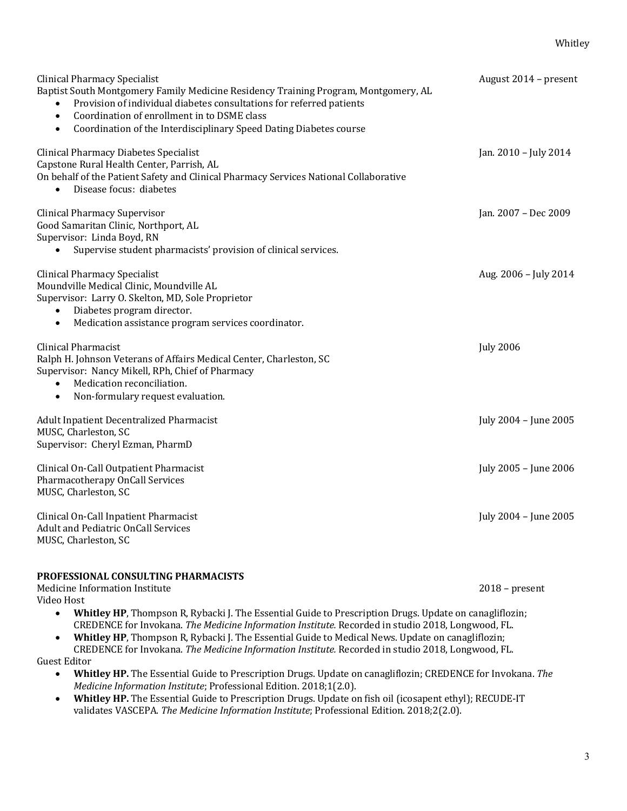| <b>Clinical Pharmacy Specialist</b><br>Baptist South Montgomery Family Medicine Residency Training Program, Montgomery, AL<br>Provision of individual diabetes consultations for referred patients<br>Coordination of enrollment in to DSME class<br>$\bullet$<br>Coordination of the Interdisciplinary Speed Dating Diabetes course<br>$\bullet$ | August 2014 - present |
|---------------------------------------------------------------------------------------------------------------------------------------------------------------------------------------------------------------------------------------------------------------------------------------------------------------------------------------------------|-----------------------|
| <b>Clinical Pharmacy Diabetes Specialist</b><br>Capstone Rural Health Center, Parrish, AL<br>On behalf of the Patient Safety and Clinical Pharmacy Services National Collaborative<br>Disease focus: diabetes<br>$\bullet$                                                                                                                        | Jan. 2010 - July 2014 |
| <b>Clinical Pharmacy Supervisor</b><br>Good Samaritan Clinic, Northport, AL<br>Supervisor: Linda Boyd, RN<br>Supervise student pharmacists' provision of clinical services.                                                                                                                                                                       | Jan. 2007 – Dec 2009  |
| <b>Clinical Pharmacy Specialist</b><br>Moundville Medical Clinic, Moundville AL<br>Supervisor: Larry O. Skelton, MD, Sole Proprietor<br>Diabetes program director.<br>Medication assistance program services coordinator.<br>$\bullet$                                                                                                            | Aug. 2006 - July 2014 |
| <b>Clinical Pharmacist</b><br>Ralph H. Johnson Veterans of Affairs Medical Center, Charleston, SC<br>Supervisor: Nancy Mikell, RPh, Chief of Pharmacy<br>Medication reconciliation.<br>Non-formulary request evaluation.<br>$\bullet$                                                                                                             | <b>July 2006</b>      |
| Adult Inpatient Decentralized Pharmacist<br>MUSC, Charleston, SC<br>Supervisor: Cheryl Ezman, PharmD                                                                                                                                                                                                                                              | July 2004 - June 2005 |
| Clinical On-Call Outpatient Pharmacist<br>Pharmacotherapy OnCall Services<br>MUSC, Charleston, SC                                                                                                                                                                                                                                                 | July 2005 - June 2006 |
| Clinical On-Call Inpatient Pharmacist<br><b>Adult and Pediatric OnCall Services</b><br>MUSC, Charleston, SC                                                                                                                                                                                                                                       | July 2004 - June 2005 |
|                                                                                                                                                                                                                                                                                                                                                   |                       |

## **PROFESSIONAL CONSULTING PHARMACISTS**

Medicine Information Institute 2018 – present Video Host

- Whitley HP, Thompson R, Rybacki J. The Essential Guide to Prescription Drugs. Update on canagliflozin; CREDENCE for Invokana. The Medicine Information Institute. Recorded in studio 2018, Longwood, FL.
- Whitley HP, Thompson R, Rybacki J. The Essential Guide to Medical News. Update on canagliflozin; CREDENCE for Invokana. *The Medicine Information Institute.* Recorded in studio 2018, Longwood, FL.

Guest Editor

- Whitley HP. The Essential Guide to Prescription Drugs. Update on canagliflozin; CREDENCE for Invokana. The *Medicine Information Institute*; Professional Edition. 2018;1(2.0).
- Whitley HP. The Essential Guide to Prescription Drugs. Update on fish oil (icosapent ethyl); RECUDE-IT validates VASCEPA. The Medicine Information Institute; Professional Edition. 2018;2(2.0).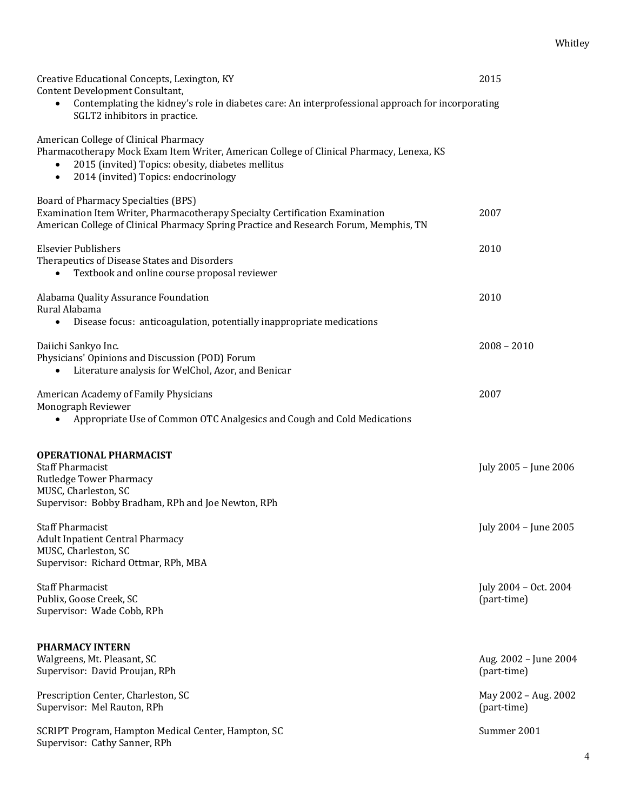| Creative Educational Concepts, Lexington, KY<br>Content Development Consultant,<br>Contemplating the kidney's role in diabetes care: An interprofessional approach for incorporating<br>$\bullet$<br>SGLT2 inhibitors in practice.          | 2015                                 |
|---------------------------------------------------------------------------------------------------------------------------------------------------------------------------------------------------------------------------------------------|--------------------------------------|
| American College of Clinical Pharmacy<br>Pharmacotherapy Mock Exam Item Writer, American College of Clinical Pharmacy, Lenexa, KS<br>2015 (invited) Topics: obesity, diabetes mellitus<br>2014 (invited) Topics: endocrinology<br>$\bullet$ |                                      |
| <b>Board of Pharmacy Specialties (BPS)</b><br>Examination Item Writer, Pharmacotherapy Specialty Certification Examination<br>American College of Clinical Pharmacy Spring Practice and Research Forum, Memphis, TN                         | 2007                                 |
| <b>Elsevier Publishers</b><br>Therapeutics of Disease States and Disorders<br>Textbook and online course proposal reviewer<br>$\bullet$                                                                                                     | 2010                                 |
| Alabama Quality Assurance Foundation<br>Rural Alabama<br>Disease focus: anticoagulation, potentially inappropriate medications<br>$\bullet$                                                                                                 | 2010                                 |
| Daiichi Sankyo Inc.<br>Physicians' Opinions and Discussion (POD) Forum<br>Literature analysis for WelChol, Azor, and Benicar                                                                                                                | $2008 - 2010$                        |
| American Academy of Family Physicians<br>Monograph Reviewer<br>Appropriate Use of Common OTC Analgesics and Cough and Cold Medications                                                                                                      | 2007                                 |
| <b>OPERATIONAL PHARMACIST</b><br><b>Staff Pharmacist</b><br><b>Rutledge Tower Pharmacy</b><br>MUSC, Charleston, SC<br>Supervisor: Bobby Bradham, RPh and Joe Newton, RPh                                                                    | July 2005 - June 2006                |
| <b>Staff Pharmacist</b><br><b>Adult Inpatient Central Pharmacy</b><br>MUSC, Charleston, SC<br>Supervisor: Richard Ottmar, RPh, MBA                                                                                                          | July 2004 - June 2005                |
| <b>Staff Pharmacist</b><br>Publix, Goose Creek, SC<br>Supervisor: Wade Cobb, RPh                                                                                                                                                            | July 2004 - Oct. 2004<br>(part-time) |
| <b>PHARMACY INTERN</b><br>Walgreens, Mt. Pleasant, SC<br>Supervisor: David Proujan, RPh                                                                                                                                                     | Aug. 2002 - June 2004<br>(part-time) |
| Prescription Center, Charleston, SC<br>Supervisor: Mel Rauton, RPh                                                                                                                                                                          | May 2002 - Aug. 2002<br>(part-time)  |
| SCRIPT Program, Hampton Medical Center, Hampton, SC<br>Supervisor: Cathy Sanner, RPh                                                                                                                                                        | Summer 2001                          |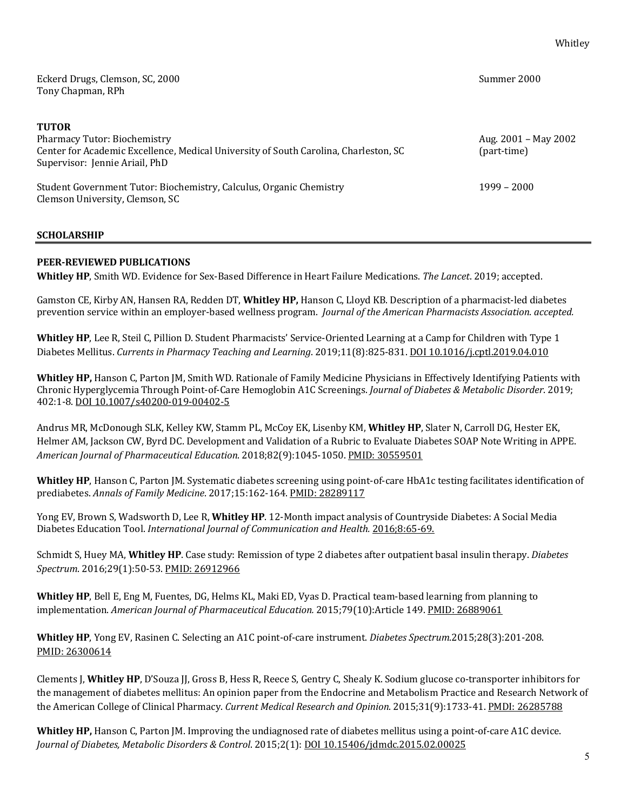| Eckerd Drugs, Clemson, SC, 2000<br>Tony Chapman, RPh                                                                                                                          | Summer 2000                         |
|-------------------------------------------------------------------------------------------------------------------------------------------------------------------------------|-------------------------------------|
| <b>TUTOR</b><br><b>Pharmacy Tutor: Biochemistry</b><br>Center for Academic Excellence, Medical University of South Carolina, Charleston, SC<br>Supervisor: Jennie Ariail, PhD | Aug. 2001 – May 2002<br>(part-time) |
| Student Government Tutor: Biochemistry, Calculus, Organic Chemistry<br>Clemson University, Clemson, SC                                                                        | $1999 - 2000$                       |

#### **SCHOLARSHIP**

#### **PEER-REVIEWED PUBLICATIONS**

**Whitley HP**, Smith WD. Evidence for Sex-Based Difference in Heart Failure Medications. The Lancet. 2019; accepted.

Gamston CE, Kirby AN, Hansen RA, Redden DT, Whitley HP, Hanson C, Lloyd KB. Description of a pharmacist-led diabetes prevention service within an employer-based wellness program. *Journal of the American Pharmacists Association. accepted.* 

**Whitley HP**, Lee R, Steil C, Pillion D. Student Pharmacists' Service-Oriented Learning at a Camp for Children with Type 1 Diabetes Mellitus. Currents in Pharmacy Teaching and Learning. 2019;11(8):825-831. DOI 10.1016/j.cptl.2019.04.010

Whitley HP, Hanson C, Parton JM, Smith WD. Rationale of Family Medicine Physicians in Effectively Identifying Patients with Chronic Hyperglycemia Through Point-of-Care Hemoglobin A1C Screenings. *Journal of Diabetes & Metabolic Disorder*. 2019; 402:1-8. DOI 10.1007/s40200-019-00402-5

Andrus MR, McDonough SLK, Kelley KW, Stamm PL, McCoy EK, Lisenby KM, Whitley HP, Slater N, Carroll DG, Hester EK, Helmer AM, Jackson CW, Byrd DC. Development and Validation of a Rubric to Evaluate Diabetes SOAP Note Writing in APPE. *American Journal of Pharmaceutical Education*. 2018;82(9):1045-1050. PMID: 30559501

**Whitley HP**, Hanson C, Parton JM. Systematic diabetes screening using point-of-care HbA1c testing facilitates identification of prediabetes. Annals of Family Medicine. 2017;15:162-164. PMID: 28289117

Yong EV, Brown S, Wadsworth D, Lee R, Whitley HP. 12-Month impact analysis of Countryside Diabetes: A Social Media Diabetes Education Tool. *International Journal of Communication and Health.* 2016;8:65-69.

Schmidt S, Huey MA, Whitley HP. Case study: Remission of type 2 diabetes after outpatient basal insulin therapy. *Diabetes* Spectrum. 2016;29(1):50-53. PMID: 26912966

Whitley HP, Bell E, Eng M, Fuentes, DG, Helms KL, Maki ED, Vyas D. Practical team-based learning from planning to implementation. American Journal of Pharmaceutical Education. 2015;79(10):Article 149. PMID: 26889061

**Whitley HP**, Yong EV, Rasinen C. Selecting an A1C point-of-care instrument. *Diabetes Spectrum.*2015;28(3):201-208. PMID: 26300614

Clements J, Whitley HP, D'Souza JJ, Gross B, Hess R, Reece S, Gentry C, Shealy K. Sodium glucose co-transporter inhibitors for the management of diabetes mellitus: An opinion paper from the Endocrine and Metabolism Practice and Research Network of the American College of Clinical Pharmacy. *Current Medical Research and Opinion*. 2015;31(9):1733-41. PMDI: 26285788

**Whitley HP,** Hanson C, Parton JM. Improving the undiagnosed rate of diabetes mellitus using a point-of-care A1C device. *Journal of Diabetes, Metabolic Disorders & Control*. 2015;2(1): DOI 10.15406/jdmdc.2015.02.00025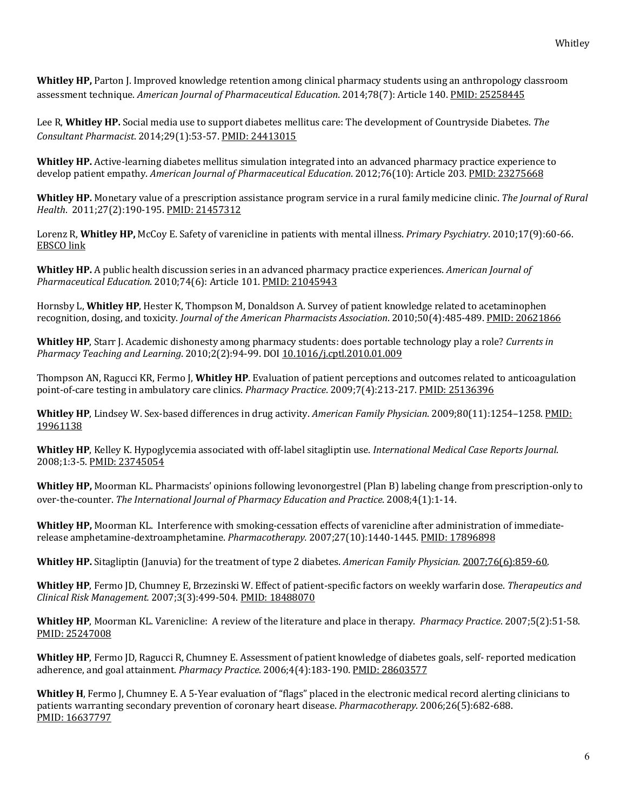**Whitley HP,** Parton J. Improved knowledge retention among clinical pharmacy students using an anthropology classroom assessment technique. *American Journal of Pharmaceutical Education*. 2014;78(7): Article 140. PMID: 25258445

Lee R, Whitley HP. Social media use to support diabetes mellitus care: The development of Countryside Diabetes. The *Consultant Pharmacist*. 2014;29(1):53-57. PMID: 24413015

**Whitley HP.** Active-learning diabetes mellitus simulation integrated into an advanced pharmacy practice experience to develop patient empathy. American Journal of Pharmaceutical Education. 2012;76(10): Article 203. PMID: 23275668

**Whitley HP.** Monetary value of a prescription assistance program service in a rural family medicine clinic. The Journal of Rural *Health*. 2011;27(2):190-195. PMID: 21457312

Lorenz R, Whitley HP, McCoy E. Safety of varenicline in patients with mental illness. *Primary Psychiatry*. 2010;17(9):60-66. EBSCO link

**Whitley HP.** A public health discussion series in an advanced pharmacy practice experiences. *American Journal of Pharmaceutical Education*. 2010;74(6): Article 101. PMID: 21045943

Hornsby L, Whitley HP, Hester K, Thompson M, Donaldson A. Survey of patient knowledge related to acetaminophen recognition, dosing, and toxicity. *Journal of the American Pharmacists Association*. 2010;50(4):485-489. PMID: 20621866

**Whitley HP**, Starr J. Academic dishonesty among pharmacy students: does portable technology play a role? *Currents in Pharmacy Teaching and Learning*. 2010;2(2):94-99. DOI 10.1016/j.cptl.2010.01.009

Thompson AN, Ragucci KR, Fermo J, **Whitley HP**. Evaluation of patient perceptions and outcomes related to anticoagulation point-of-care testing in ambulatory care clinics. *Pharmacy Practice*. 2009;7(4):213-217. PMID: 25136396

**Whitley HP**, Lindsey W. Sex-based differences in drug activity. American Family Physician. 2009;80(11):1254–1258. PMID: 19961138

**Whitley HP**, Kelley K. Hypoglycemia associated with off-label sitagliptin use. *International Medical Case Reports Journal*. 2008;1:3-5. PMID: 23745054

**Whitley HP,** Moorman KL. Pharmacists' opinions following levonorgestrel (Plan B) labeling change from prescription-only to over-the-counter. *The International Journal of Pharmacy Education and Practice*. 2008;4(1):1-14.

**Whitley HP,** Moorman KL. Interference with smoking-cessation effects of varenicline after administration of immediaterelease amphetamine-dextroamphetamine. *Pharmacotherapy.* 2007;27(10):1440-1445. PMID: 17896898

**Whitley HP.** Sitagliptin (Januvia) for the treatment of type 2 diabetes. American *Family Physician.* 2007;76(6):859-60.

Whitley HP, Fermo JD, Chumney E, Brzezinski W. Effect of patient-specific factors on weekly warfarin dose. Therapeutics and *Clinical Risk Management.* 2007;3(3):499-504. PMID: 18488070

**Whitley HP**, Moorman KL. Varenicline: A review of the literature and place in therapy. *Pharmacy Practice*. 2007;5(2):51-58. PMID: 25247008

**Whitley HP**, Fermo JD, Ragucci R, Chumney E. Assessment of patient knowledge of diabetes goals, self- reported medication adherence, and goal attainment. *Pharmacy Practice*. 2006;4(4):183-190. *PMID: 28603577* 

**Whitley H**, Fermo J, Chumney E. A 5-Year evaluation of "flags" placed in the electronic medical record alerting clinicians to patients warranting secondary prevention of coronary heart disease. *Pharmacotherapy*. 2006;26(5):682-688. PMID: 16637797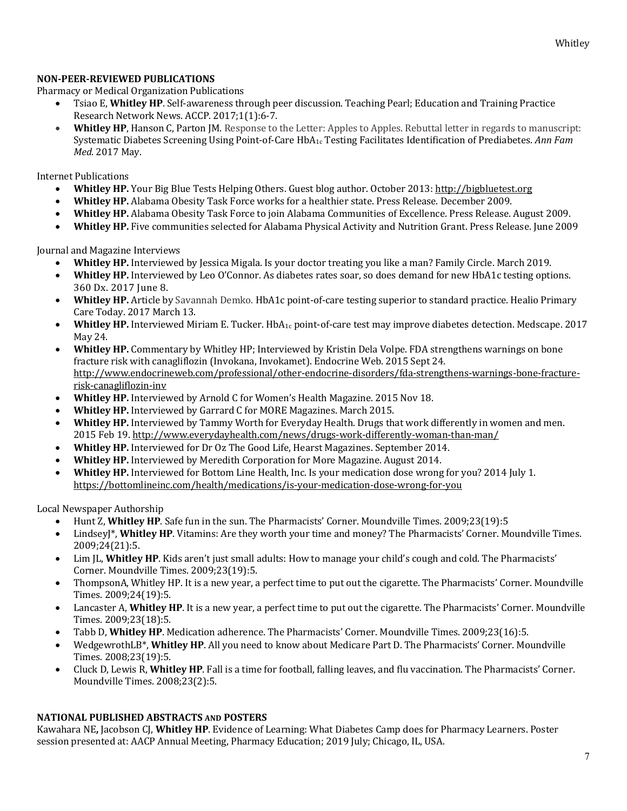## **NON-PEER-REVIEWED PUBLICATIONS**

Pharmacy or Medical Organization Publications

- Tsiao E, **Whitley HP**. Self-awareness through peer discussion. Teaching Pearl; Education and Training Practice Research Network News. ACCP. 2017;1(1):6-7.
- **Whitley HP**, Hanson C, Parton JM. Response to the Letter: Apples to Apples. Rebuttal letter in regards to manuscript: Systematic Diabetes Screening Using Point-of-Care HbA1c Testing Facilitates Identification of Prediabetes. *Ann Fam Med*. 2017 May.

Internet Publications

- Whitley HP. Your Big Blue Tests Helping Others. Guest blog author. October 2013: http://bigbluetest.org
- Whitley HP. Alabama Obesity Task Force works for a healthier state. Press Release. December 2009.
- **Whitley HP.** Alabama Obesity Task Force to join Alabama Communities of Excellence. Press Release. August 2009.
- **Whitley HP.** Five communities selected for Alabama Physical Activity and Nutrition Grant. Press Release. June 2009

Journal and Magazine Interviews

- Whitley HP. Interviewed by Jessica Migala. Is your doctor treating you like a man? Family Circle. March 2019.
- **Whitley HP.** Interviewed by Leo O'Connor. As diabetes rates soar, so does demand for new HbA1c testing options. 360 Dx. 2017 June 8.
- **Whitley HP.** Article by Savannah Demko. HbA1c point-of-care testing superior to standard practice. Healio Primary Care Today. 2017 March 13.
- **Whitley HP.** Interviewed Miriam E. Tucker. HbA<sub>1c</sub> point-of-care test may improve diabetes detection. Medscape. 2017 May 24.
- **Whitley HP.** Commentary by Whitley HP; Interviewed by Kristin Dela Volpe. FDA strengthens warnings on bone fracture risk with canagliflozin (Invokana, Invokamet). Endocrine Web. 2015 Sept 24. http://www.endocrineweb.com/professional/other-endocrine-disorders/fda-strengthens-warnings-bone-fracturerisk-canagliflozin-inv
- **Whitley HP.** Interviewed by Arnold C for Women's Health Magazine. 2015 Nov 18.
- **Whitley HP.** Interviewed by Garrard C for MORE Magazines. March 2015.
- **Whitley HP.** Interviewed by Tammy Worth for Everyday Health. Drugs that work differently in women and men. 2015 Feb 19. http://www.everydayhealth.com/news/drugs-work-differently-woman-than-man/
- **Whitley HP.** Interviewed for Dr Oz The Good Life, Hearst Magazines. September 2014.
- **Whitley HP.** Interviewed by Meredith Corporation for More Magazine. August 2014.
- **Whitley HP.** Interviewed for Bottom Line Health, Inc. Is your medication dose wrong for you? 2014 July 1. https://bottomlineinc.com/health/medications/is-your-medication-dose-wrong-for-you

Local Newspaper Authorship

- Hunt Z, Whitley HP. Safe fun in the sun. The Pharmacists' Corner. Moundville Times. 2009;23(19):5
- Lindsey]\*, Whitley HP. Vitamins: Are they worth your time and money? The Pharmacists' Corner. Moundville Times. 2009;24(21):5.
- Lim JL, Whitley HP. Kids aren't just small adults: How to manage your child's cough and cold. The Pharmacists' Corner. Moundville Times. 2009;23(19):5.
- ThompsonA, Whitley HP. It is a new year, a perfect time to put out the cigarette. The Pharmacists' Corner. Moundville Times. 2009;24(19):5.
- Lancaster A, Whitley HP. It is a new year, a perfect time to put out the cigarette. The Pharmacists' Corner. Moundville Times. 2009;23(18):5.
- Tabb D, Whitley HP. Medication adherence. The Pharmacists' Corner. Moundville Times. 2009;23(16):5.
- WedgewrothLB\*, Whitley HP. All you need to know about Medicare Part D. The Pharmacists' Corner. Moundville Times. 2008;23(19):5.
- Cluck D, Lewis R, **Whitley HP**. Fall is a time for football, falling leaves, and flu vaccination. The Pharmacists' Corner. Moundville Times. 2008;23(2):5.

# **NATIONAL PUBLISHED ABSTRACTS AND POSTERS**

Kawahara NE, Jacobson CJ, Whitley HP. Evidence of Learning: What Diabetes Camp does for Pharmacy Learners. Poster session presented at: AACP Annual Meeting, Pharmacy Education; 2019 July; Chicago, IL, USA.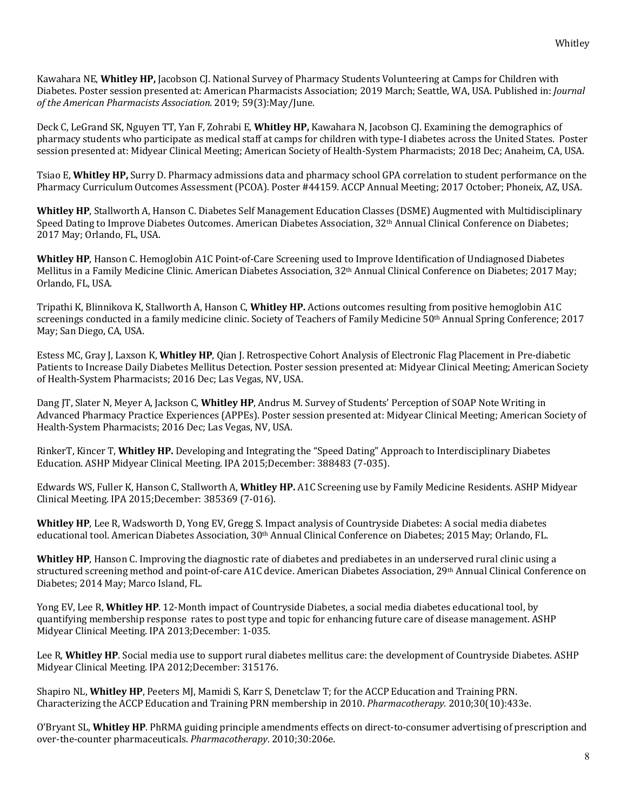Kawahara NE, Whitley HP, Jacobson CJ. National Survey of Pharmacy Students Volunteering at Camps for Children with Diabetes. Poster session presented at: American Pharmacists Association; 2019 March; Seattle, WA, USA. Published in: *Journal of the American Pharmacists Association.* 2019; 59(3):May/June.

Deck C, LeGrand SK, Nguyen TT, Yan F, Zohrabi E, **Whitley HP**, Kawahara N, Jacobson CJ. Examining the demographics of pharmacy students who participate as medical staff at camps for children with type-I diabetes across the United States. Poster session presented at: Midyear Clinical Meeting; American Society of Health-System Pharmacists; 2018 Dec; Anaheim, CA, USA.

Tsiao E, Whitley HP, Surry D. Pharmacy admissions data and pharmacy school GPA correlation to student performance on the Pharmacy Curriculum Outcomes Assessment (PCOA). Poster #44159. ACCP Annual Meeting; 2017 October; Phoneix, AZ, USA.

**Whitley HP**, Stallworth A, Hanson C. Diabetes Self Management Education Classes (DSME) Augmented with Multidisciplinary Speed Dating to Improve Diabetes Outcomes. American Diabetes Association, 32<sup>th</sup> Annual Clinical Conference on Diabetes; 2017 May; Orlando, FL, USA.

**Whitley HP**, Hanson C. Hemoglobin A1C Point-of-Care Screening used to Improve Identification of Undiagnosed Diabetes Mellitus in a Family Medicine Clinic. American Diabetes Association, 32<sup>th</sup> Annual Clinical Conference on Diabetes; 2017 May; Orlando, FL, USA.

Tripathi K, Blinnikova K, Stallworth A, Hanson C, Whitley HP. Actions outcomes resulting from positive hemoglobin A1C screenings conducted in a family medicine clinic. Society of Teachers of Family Medicine  $50<sup>th</sup>$  Annual Spring Conference; 2017 May; San Diego, CA, USA.

Estess MC, Gray J, Laxson K, Whitley HP, Qian J. Retrospective Cohort Analysis of Electronic Flag Placement in Pre-diabetic Patients to Increase Daily Diabetes Mellitus Detection. Poster session presented at: Midyear Clinical Meeting; American Society of Health-System Pharmacists; 2016 Dec; Las Vegas, NV, USA.

Dang IT, Slater N, Meyer A, Jackson C, Whitley HP, Andrus M. Survey of Students' Perception of SOAP Note Writing in Advanced Pharmacy Practice Experiences (APPEs). Poster session presented at: Midyear Clinical Meeting; American Society of Health-System Pharmacists; 2016 Dec; Las Vegas, NV, USA.

RinkerT, Kincer T, Whitley HP. Developing and Integrating the "Speed Dating" Approach to Interdisciplinary Diabetes Education. ASHP Midyear Clinical Meeting. IPA 2015;December: 388483 (7-035).

Edwards WS, Fuller K, Hanson C, Stallworth A, Whitley HP. A1C Screening use by Family Medicine Residents. ASHP Midyear Clinical Meeting. IPA 2015;December: 385369 (7-016).

**Whitley HP**, Lee R, Wadsworth D, Yong EV, Gregg S. Impact analysis of Countryside Diabetes: A social media diabetes educational tool. American Diabetes Association, 30<sup>th</sup> Annual Clinical Conference on Diabetes; 2015 May; Orlando, FL.

**Whitley HP**, Hanson C. Improving the diagnostic rate of diabetes and prediabetes in an underserved rural clinic using a structured screening method and point-of-care A1C device. American Diabetes Association, 29th Annual Clinical Conference on Diabetes; 2014 May; Marco Island, FL.

Yong EV, Lee R, Whitley HP. 12-Month impact of Countryside Diabetes, a social media diabetes educational tool, by quantifying membership response rates to post type and topic for enhancing future care of disease management. ASHP Midyear Clinical Meeting. IPA 2013;December: 1-035.

Lee R, Whitley HP. Social media use to support rural diabetes mellitus care: the development of Countryside Diabetes. ASHP Midyear Clinical Meeting. IPA 2012;December: 315176.

Shapiro NL, Whitley HP, Peeters MJ, Mamidi S, Karr S, Denetclaw T; for the ACCP Education and Training PRN. Characterizing the ACCP Education and Training PRN membership in 2010. *Pharmacotherapy*. 2010;30(10):433e.

O'Bryant SL, Whitley HP. PhRMA guiding principle amendments effects on direct-to-consumer advertising of prescription and over-the-counter pharmaceuticals. *Pharmacotherapy*. 2010;30:206e.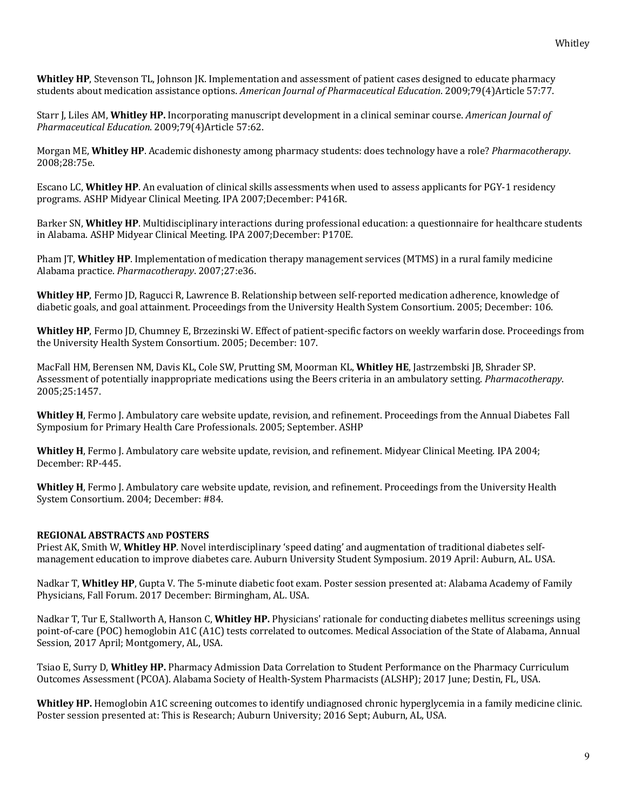**Whitley HP**, Stevenson TL, Johnson JK. Implementation and assessment of patient cases designed to educate pharmacy students about medication assistance options. American Journal of Pharmaceutical Education. 2009;79(4)Article 57:77.

Starr J, Liles AM, **Whitley HP.** Incorporating manuscript development in a clinical seminar course. *American Journal of Pharmaceutical Education*. 2009;79(4)Article 57:62. 

Morgan ME, **Whitley HP**. Academic dishonesty among pharmacy students: does technology have a role? *Pharmacotherapy*. 2008;28:75e.

Escano LC, Whitley HP. An evaluation of clinical skills assessments when used to assess applicants for PGY-1 residency programs. ASHP Midyear Clinical Meeting. IPA 2007;December: P416R.

Barker SN, Whitley HP. Multidisciplinary interactions during professional education: a questionnaire for healthcare students in Alabama. ASHP Midyear Clinical Meeting. IPA 2007;December: P170E.

Pham [T, **Whitley HP**. Implementation of medication therapy management services (MTMS) in a rural family medicine Alabama practice. *Pharmacotherapy*. 2007;27:e36.

**Whitley HP**, Fermo JD, Ragucci R, Lawrence B. Relationship between self-reported medication adherence, knowledge of diabetic goals, and goal attainment. Proceedings from the University Health System Consortium. 2005; December: 106.

Whitley HP, Fermo JD, Chumney E, Brzezinski W. Effect of patient-specific factors on weekly warfarin dose. Proceedings from the University Health System Consortium. 2005; December: 107.

MacFall HM, Berensen NM, Davis KL, Cole SW, Prutting SM, Moorman KL, Whitley HE, Jastrzembski JB, Shrader SP. Assessment of potentially inappropriate medications using the Beers criteria in an ambulatory setting. *Pharmacotherapy*. 2005;25:1457.

**Whitley H**, Fermo J. Ambulatory care website update, revision, and refinement. Proceedings from the Annual Diabetes Fall Symposium for Primary Health Care Professionals. 2005; September. ASHP

**Whitley H**, Fermo J. Ambulatory care website update, revision, and refinement. Midyear Clinical Meeting. IPA 2004; December: RP-445.

**Whitley H**, Fermo J. Ambulatory care website update, revision, and refinement. Proceedings from the University Health System Consortium. 2004; December: #84.

## **REGIONAL ABSTRACTS AND POSTERS**

Priest AK, Smith W, **Whitley HP**. Novel interdisciplinary 'speed dating' and augmentation of traditional diabetes selfmanagement education to improve diabetes care. Auburn University Student Symposium. 2019 April: Auburn, AL. USA.

Nadkar T, Whitley HP, Gupta V. The 5-minute diabetic foot exam. Poster session presented at: Alabama Academy of Family Physicians, Fall Forum. 2017 December: Birmingham, AL. USA.

Nadkar T, Tur E, Stallworth A, Hanson C, Whitley HP. Physicians' rationale for conducting diabetes mellitus screenings using point-of-care (POC) hemoglobin A1C (A1C) tests correlated to outcomes. Medical Association of the State of Alabama, Annual Session, 2017 April; Montgomery, AL, USA.

Tsiao E, Surry D, **Whitley HP.** Pharmacy Admission Data Correlation to Student Performance on the Pharmacy Curriculum Outcomes Assessment (PCOA). Alabama Society of Health-System Pharmacists (ALSHP); 2017 June; Destin, FL, USA.

**Whitley HP.** Hemoglobin A1C screening outcomes to identify undiagnosed chronic hyperglycemia in a family medicine clinic. Poster session presented at: This is Research; Auburn University; 2016 Sept; Auburn, AL, USA.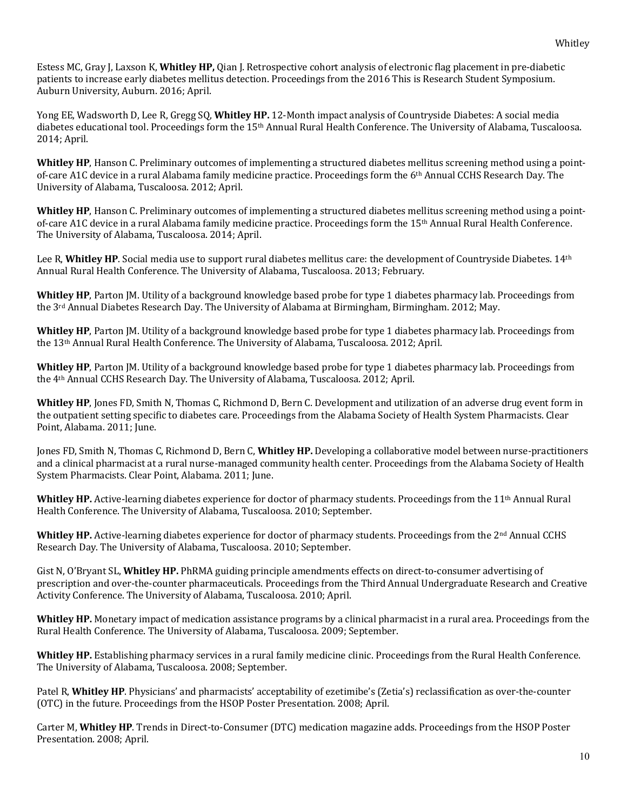Estess MC, Gray J, Laxson K, Whitley HP, Qian J. Retrospective cohort analysis of electronic flag placement in pre-diabetic patients to increase early diabetes mellitus detection. Proceedings from the 2016 This is Research Student Symposium. Auburn University, Auburn. 2016; April.

Yong EE, Wadsworth D, Lee R, Gregg SQ, Whitley HP. 12-Month impact analysis of Countryside Diabetes: A social media diabetes educational tool. Proceedings form the 15<sup>th</sup> Annual Rural Health Conference. The University of Alabama, Tuscaloosa. 2014; April.

Whitley HP, Hanson C. Preliminary outcomes of implementing a structured diabetes mellitus screening method using a pointof-care A1C device in a rural Alabama family medicine practice. Proceedings form the 6<sup>th</sup> Annual CCHS Research Day. The University of Alabama, Tuscaloosa. 2012; April.

**Whitley HP**, Hanson C. Preliminary outcomes of implementing a structured diabetes mellitus screening method using a pointof-care A1C device in a rural Alabama family medicine practice. Proceedings form the  $15<sup>th</sup>$  Annual Rural Health Conference. The University of Alabama, Tuscaloosa. 2014; April.

Lee R, Whitley HP. Social media use to support rural diabetes mellitus care: the development of Countryside Diabetes. 14<sup>th</sup> Annual Rural Health Conference. The University of Alabama, Tuscaloosa. 2013; February.

**Whitley HP**, Parton JM. Utility of a background knowledge based probe for type 1 diabetes pharmacy lab. Proceedings from the 3<sup>rd</sup> Annual Diabetes Research Day. The University of Alabama at Birmingham, Birmingham. 2012; May.

**Whitley HP**, Parton JM. Utility of a background knowledge based probe for type 1 diabetes pharmacy lab. Proceedings from the 13<sup>th</sup> Annual Rural Health Conference. The University of Alabama, Tuscaloosa. 2012; April.

**Whitley HP**, Parton JM. Utility of a background knowledge based probe for type 1 diabetes pharmacy lab. Proceedings from the 4<sup>th</sup> Annual CCHS Research Day. The University of Alabama, Tuscaloosa. 2012; April.

**Whitley HP**, Jones FD, Smith N, Thomas C, Richmond D, Bern C. Development and utilization of an adverse drug event form in the outpatient setting specific to diabetes care. Proceedings from the Alabama Society of Health System Pharmacists. Clear Point, Alabama. 2011; June.

Jones FD, Smith N, Thomas C, Richmond D, Bern C, Whitley HP. Developing a collaborative model between nurse-practitioners and a clinical pharmacist at a rural nurse-managed community health center. Proceedings from the Alabama Society of Health System Pharmacists. Clear Point, Alabama. 2011; June.

**Whitley HP.** Active-learning diabetes experience for doctor of pharmacy students. Proceedings from the  $11<sup>th</sup>$  Annual Rural Health Conference. The University of Alabama, Tuscaloosa. 2010; September.

**Whitley HP.** Active-learning diabetes experience for doctor of pharmacy students. Proceedings from the  $2^{nd}$  Annual CCHS Research Day. The University of Alabama, Tuscaloosa. 2010; September.

Gist N, O'Bryant SL, Whitley HP. PhRMA guiding principle amendments effects on direct-to-consumer advertising of prescription and over-the-counter pharmaceuticals. Proceedings from the Third Annual Undergraduate Research and Creative Activity Conference. The University of Alabama, Tuscaloosa. 2010; April.

**Whitley HP.** Monetary impact of medication assistance programs by a clinical pharmacist in a rural area. Proceedings from the Rural Health Conference. The University of Alabama, Tuscaloosa. 2009; September.

**Whitley HP.** Establishing pharmacy services in a rural family medicine clinic. Proceedings from the Rural Health Conference. The University of Alabama, Tuscaloosa. 2008; September.

Patel R, Whitley HP. Physicians' and pharmacists' acceptability of ezetimibe's (Zetia's) reclassification as over-the-counter (OTC) in the future. Proceedings from the HSOP Poster Presentation. 2008; April.

Carter M, Whitley HP. Trends in Direct-to-Consumer (DTC) medication magazine adds. Proceedings from the HSOP Poster Presentation. 2008: April.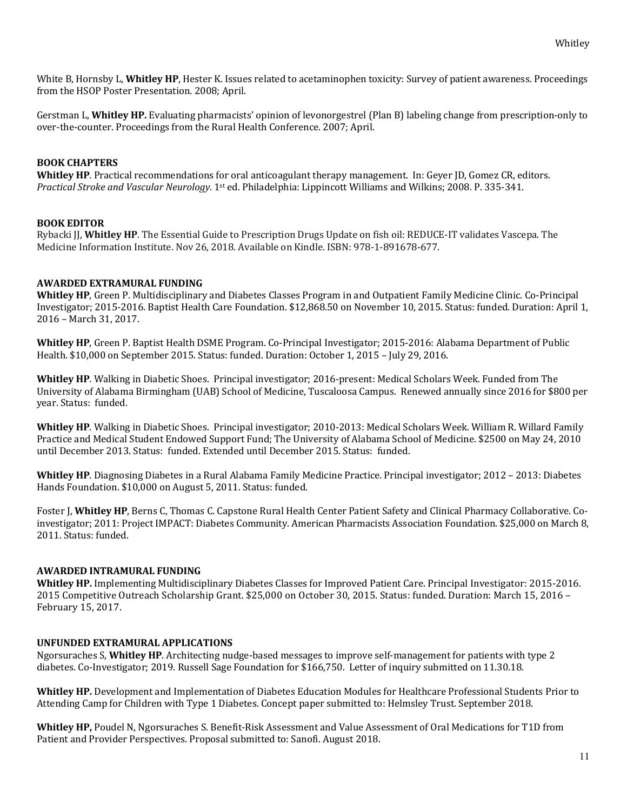White B, Hornsby L, Whitley HP, Hester K. Issues related to acetaminophen toxicity: Survey of patient awareness. Proceedings from the HSOP Poster Presentation. 2008; April.

Gerstman L, Whitley HP. Evaluating pharmacists' opinion of levonorgestrel (Plan B) labeling change from prescription-only to over-the-counter. Proceedings from the Rural Health Conference. 2007; April.

#### **BOOK CHAPTERS**

**Whitley HP**. Practical recommendations for oral anticoagulant therapy management. In: Geyer JD, Gomez CR, editors. *Practical Stroke and Vascular Neurology*. 1<sup>st</sup> ed. Philadelphia: Lippincott Williams and Wilkins; 2008. P. 335-341.

#### **BOOK EDITOR**

Rybacki II, **Whitley HP**. The Essential Guide to Prescription Drugs Update on fish oil: REDUCE-IT validates Vascepa. The Medicine Information Institute. Nov 26, 2018. Available on Kindle. ISBN: 978-1-891678-677.

#### **AWARDED EXTRAMURAL FUNDING**

**Whitley HP**, Green P. Multidisciplinary and Diabetes Classes Program in and Outpatient Family Medicine Clinic. Co-Principal Investigator; 2015-2016. Baptist Health Care Foundation. \$12,868.50 on November 10, 2015. Status: funded. Duration: April 1, 2016 - March 31, 2017.

**Whitley HP**, Green P. Baptist Health DSME Program. Co-Principal Investigator; 2015-2016: Alabama Department of Public Health. \$10,000 on September 2015. Status: funded. Duration: October 1, 2015 - July 29, 2016.

**Whitley HP**. Walking in Diabetic Shoes. Principal investigator; 2016-present: Medical Scholars Week. Funded from The University of Alabama Birmingham (UAB) School of Medicine, Tuscaloosa Campus. Renewed annually since 2016 for \$800 per year. Status: funded.

Whitley HP. Walking in Diabetic Shoes. Principal investigator; 2010-2013: Medical Scholars Week. William R. Willard Family Practice and Medical Student Endowed Support Fund; The University of Alabama School of Medicine. \$2500 on May 24, 2010 until December 2013. Status: funded. Extended until December 2015. Status: funded.

**Whitley HP**. Diagnosing Diabetes in a Rural Alabama Family Medicine Practice. Principal investigator; 2012 – 2013: Diabetes Hands Foundation. \$10,000 on August 5, 2011. Status: funded.

Foster J, Whitley HP, Berns C, Thomas C. Capstone Rural Health Center Patient Safety and Clinical Pharmacy Collaborative. Coinvestigator; 2011: Project IMPACT: Diabetes Community. American Pharmacists Association Foundation. \$25,000 on March 8, 2011. Status: funded.

#### **AWARDED INTRAMURAL FUNDING**

**Whitley HP.** Implementing Multidisciplinary Diabetes Classes for Improved Patient Care. Principal Investigator: 2015-2016. 2015 Competitive Outreach Scholarship Grant. \$25,000 on October 30, 2015. Status: funded. Duration: March 15, 2016 – February 15, 2017.

#### **UNFUNDED EXTRAMURAL APPLICATIONS**

Ngorsuraches S, Whitley HP. Architecting nudge-based messages to improve self-management for patients with type 2 diabetes. Co-Investigator; 2019. Russell Sage Foundation for \$166,750. Letter of inquiry submitted on 11.30.18.

**Whitley HP.** Development and Implementation of Diabetes Education Modules for Healthcare Professional Students Prior to Attending Camp for Children with Type 1 Diabetes. Concept paper submitted to: Helmsley Trust. September 2018.

**Whitley HP,** Poudel N, Ngorsuraches S. Benefit-Risk Assessment and Value Assessment of Oral Medications for T1D from Patient and Provider Perspectives. Proposal submitted to: Sanofi. August 2018.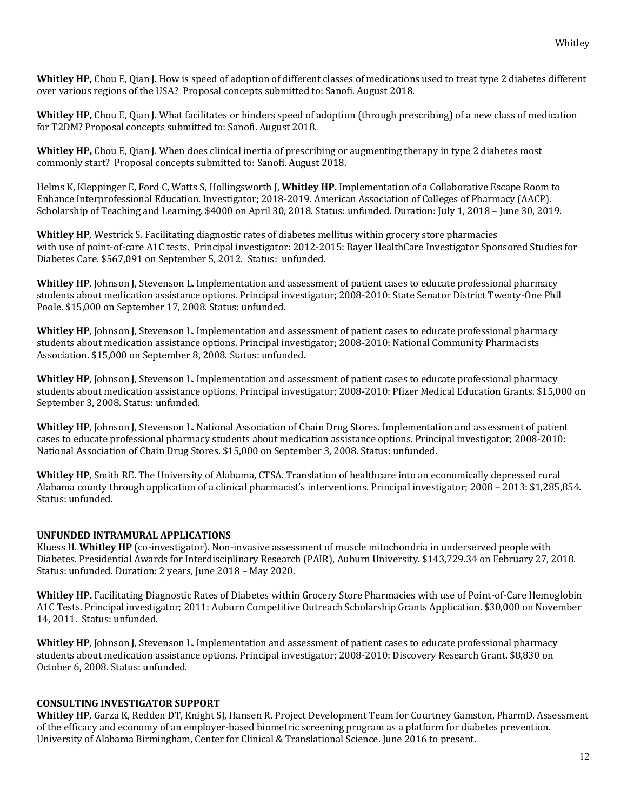Whitley HP, Chou E, Qian J. How is speed of adoption of different classes of medications used to treat type 2 diabetes different over various regions of the USA? Proposal concepts submitted to: Sanofi. August 2018.

**Whitley HP,** Chou E, Qian J. What facilitates or hinders speed of adoption (through prescribing) of a new class of medication for T2DM? Proposal concepts submitted to: Sanofi. August 2018.

**Whitley HP,** Chou E, Qian J. When does clinical inertia of prescribing or augmenting therapy in type 2 diabetes most commonly start? Proposal concepts submitted to: Sanofi. August 2018.

Helms K, Kleppinger E, Ford C, Watts S, Hollingsworth J, **Whitley HP.** Implementation of a Collaborative Escape Room to Enhance Interprofessional Education. Investigator; 2018-2019. American Association of Colleges of Pharmacy (AACP). Scholarship of Teaching and Learning. \$4000 on April 30, 2018. Status: unfunded. Duration: July 1, 2018 – June 30, 2019.

**Whitley HP**, Westrick S. Facilitating diagnostic rates of diabetes mellitus within grocery store pharmacies with use of point-of-care A1C tests. Principal investigator: 2012-2015: Bayer HealthCare Investigator Sponsored Studies for Diabetes Care. \$567,091 on September 5, 2012. Status: unfunded.

**Whitley HP**, Johnson J, Stevenson L. Implementation and assessment of patient cases to educate professional pharmacy students about medication assistance options. Principal investigator: 2008-2010: State Senator District Twenty-One Phil Poole. \$15,000 on September 17, 2008. Status: unfunded.

**Whitley HP**, Johnson J, Stevenson L. Implementation and assessment of patient cases to educate professional pharmacy students about medication assistance options. Principal investigator; 2008-2010: National Community Pharmacists Association. \$15,000 on September 8, 2008. Status: unfunded.

**Whitley HP**, Johnson J, Stevenson L. Implementation and assessment of patient cases to educate professional pharmacy students about medication assistance options. Principal investigator; 2008-2010: Pfizer Medical Education Grants. \$15,000 on September 3, 2008. Status: unfunded.

**Whitley HP**, Johnson J, Stevenson L. National Association of Chain Drug Stores. Implementation and assessment of patient cases to educate professional pharmacy students about medication assistance options. Principal investigator; 2008-2010: National Association of Chain Drug Stores. \$15,000 on September 3, 2008. Status: unfunded.

**Whitley HP**, Smith RE. The University of Alabama, CTSA. Translation of healthcare into an economically depressed rural Alabama county through application of a clinical pharmacist's interventions. Principal investigator; 2008 – 2013: \$1,285,854. Status: unfunded.

#### **UNFUNDED INTRAMURAL APPLICATIONS**

Kluess H. Whitley HP (co-investigator). Non-invasive assessment of muscle mitochondria in underserved people with Diabetes. Presidential Awards for Interdisciplinary Research (PAIR), Auburn University. \$143,729.34 on February 27, 2018. Status: unfunded. Duration: 2 years, June 2018 - May 2020.

**Whitley HP.** Facilitating Diagnostic Rates of Diabetes within Grocery Store Pharmacies with use of Point-of-Care Hemoglobin A1C Tests. Principal investigator; 2011: Auburn Competitive Outreach Scholarship Grants Application. \$30,000 on November 14, 2011. Status: unfunded.

**Whitley HP**, Johnson J, Stevenson L. Implementation and assessment of patient cases to educate professional pharmacy students about medication assistance options. Principal investigator; 2008-2010: Discovery Research Grant. \$8,830 on October 6, 2008. Status: unfunded.

#### **CONSULTING INVESTIGATOR SUPPORT**

Whitley HP, Garza K, Redden DT, Knight SJ, Hansen R. Project Development Team for Courtney Gamston, PharmD. Assessment of the efficacy and economy of an employer-based biometric screening program as a platform for diabetes prevention. University of Alabama Birmingham, Center for Clinical & Translational Science. June 2016 to present.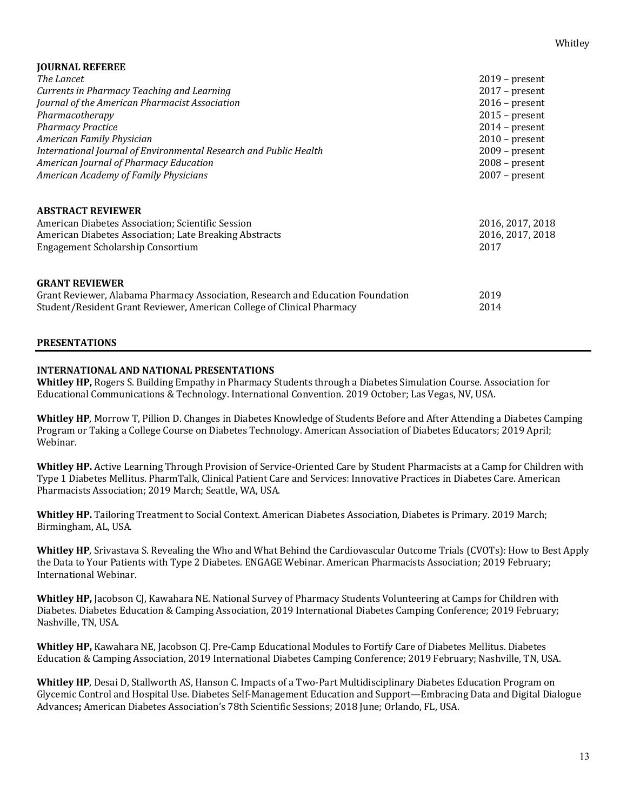| <b>JOURNAL REFEREE</b>                                                                                                                                                             |                                              |
|------------------------------------------------------------------------------------------------------------------------------------------------------------------------------------|----------------------------------------------|
| The Lancet                                                                                                                                                                         | $2019$ – present                             |
| Currents in Pharmacy Teaching and Learning                                                                                                                                         | $2017$ – present                             |
| Journal of the American Pharmacist Association                                                                                                                                     | $2016$ – present                             |
| Pharmacotherapy                                                                                                                                                                    | $2015$ – present                             |
| <b>Pharmacy Practice</b>                                                                                                                                                           | $2014$ – present                             |
| American Family Physician                                                                                                                                                          | $2010$ – present                             |
| International Journal of Environmental Research and Public Health                                                                                                                  | $2009$ – present                             |
| American Journal of Pharmacy Education                                                                                                                                             | $2008$ – present                             |
| <b>American Academy of Family Physicians</b>                                                                                                                                       | $2007$ – present                             |
| <b>ABSTRACT REVIEWER</b><br>American Diabetes Association; Scientific Session<br>American Diabetes Association; Late Breaking Abstracts<br>Engagement Scholarship Consortium       | 2016, 2017, 2018<br>2016, 2017, 2018<br>2017 |
| <b>GRANT REVIEWER</b><br>Grant Reviewer, Alabama Pharmacy Association, Research and Education Foundation<br>Student/Resident Grant Reviewer, American College of Clinical Pharmacy | 2019<br>2014                                 |

#### **PRESENTATIONS**

#### **INTERNATIONAL AND NATIONAL PRESENTATIONS**

**Whitley HP,** Rogers S. Building Empathy in Pharmacy Students through a Diabetes Simulation Course. Association for Educational Communications & Technology. International Convention. 2019 October; Las Vegas, NV, USA.

**Whitley HP**, Morrow T, Pillion D. Changes in Diabetes Knowledge of Students Before and After Attending a Diabetes Camping Program or Taking a College Course on Diabetes Technology. American Association of Diabetes Educators; 2019 April; Webinar. 

Whitley HP. Active Learning Through Provision of Service-Oriented Care by Student Pharmacists at a Camp for Children with Type 1 Diabetes Mellitus. PharmTalk, Clinical Patient Care and Services: Innovative Practices in Diabetes Care. American Pharmacists Association; 2019 March; Seattle, WA, USA.

**Whitley HP.** Tailoring Treatment to Social Context. American Diabetes Association, Diabetes is Primary. 2019 March; Birmingham, AL, USA.

**Whitley HP**, Srivastava S. Revealing the Who and What Behind the Cardiovascular Outcome Trials (CVOTs): How to Best Apply the Data to Your Patients with Type 2 Diabetes. ENGAGE Webinar. American Pharmacists Association; 2019 February; International Webinar. 

**Whitley HP,** Jacobson CJ, Kawahara NE. National Survey of Pharmacy Students Volunteering at Camps for Children with Diabetes. Diabetes Education & Camping Association, 2019 International Diabetes Camping Conference; 2019 February; Nashville, TN, USA.

**Whitley HP,** Kawahara NE, Jacobson CJ. Pre-Camp Educational Modules to Fortify Care of Diabetes Mellitus. Diabetes Education & Camping Association, 2019 International Diabetes Camping Conference; 2019 February; Nashville, TN, USA.

**Whitley HP**, Desai D, Stallworth AS, Hanson C. Impacts of a Two-Part Multidisciplinary Diabetes Education Program on Glycemic Control and Hospital Use. Diabetes Self-Management Education and Support—Embracing Data and Digital Dialogue Advances; American Diabetes Association's 78th Scientific Sessions; 2018 June; Orlando, FL, USA.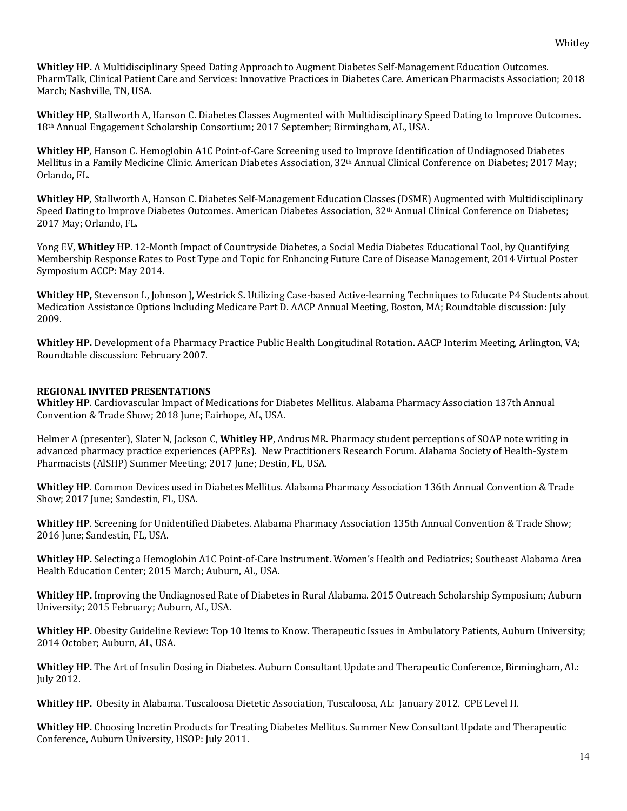**Whitley HP.** A Multidisciplinary Speed Dating Approach to Augment Diabetes Self-Management Education Outcomes. PharmTalk, Clinical Patient Care and Services: Innovative Practices in Diabetes Care. American Pharmacists Association; 2018 March; Nashville, TN, USA.

**Whitley HP**, Stallworth A, Hanson C. Diabetes Classes Augmented with Multidisciplinary Speed Dating to Improve Outcomes. 18<sup>th</sup> Annual Engagement Scholarship Consortium; 2017 September; Birmingham, AL, USA.

**Whitley HP**, Hanson C. Hemoglobin A1C Point-of-Care Screening used to Improve Identification of Undiagnosed Diabetes Mellitus in a Family Medicine Clinic. American Diabetes Association, 32<sup>th</sup> Annual Clinical Conference on Diabetes; 2017 May; Orlando, FL.

**Whitley HP**, Stallworth A, Hanson C. Diabetes Self-Management Education Classes (DSME) Augmented with Multidisciplinary Speed Dating to Improve Diabetes Outcomes. American Diabetes Association, 32<sup>th</sup> Annual Clinical Conference on Diabetes; 2017 May; Orlando, FL.

Yong EV, Whitley HP. 12-Month Impact of Countryside Diabetes, a Social Media Diabetes Educational Tool, by Quantifying Membership Response Rates to Post Type and Topic for Enhancing Future Care of Disease Management, 2014 Virtual Poster Symposium ACCP: May 2014.

**Whitley HP,** Stevenson L, Johnson J, Westrick S, Utilizing Case-based Active-learning Techniques to Educate P4 Students about Medication Assistance Options Including Medicare Part D. AACP Annual Meeting, Boston, MA; Roundtable discussion: July 2009. 

**Whitley HP.** Development of a Pharmacy Practice Public Health Longitudinal Rotation. AACP Interim Meeting, Arlington, VA; Roundtable discussion: February 2007.

## **REGIONAL INVITED PRESENTATIONS**

**Whitley HP**. Cardiovascular Impact of Medications for Diabetes Mellitus. Alabama Pharmacy Association 137th Annual Convention & Trade Show; 2018 June; Fairhope, AL, USA.

Helmer A (presenter), Slater N, Jackson C, **Whitley HP**, Andrus MR. Pharmacy student perceptions of SOAP note writing in advanced pharmacy practice experiences (APPEs). New Practitioners Research Forum. Alabama Society of Health-System Pharmacists (AlSHP) Summer Meeting; 2017 June; Destin, FL, USA.

Whitley HP. Common Devices used in Diabetes Mellitus. Alabama Pharmacy Association 136th Annual Convention & Trade Show; 2017 June; Sandestin, FL, USA.

**Whitley HP**. Screening for Unidentified Diabetes. Alabama Pharmacy Association 135th Annual Convention & Trade Show; 2016 June; Sandestin, FL, USA.

**Whitley HP.** Selecting a Hemoglobin A1C Point-of-Care Instrument. Women's Health and Pediatrics; Southeast Alabama Area Health Education Center: 2015 March: Auburn, AL, USA.

**Whitley HP.** Improving the Undiagnosed Rate of Diabetes in Rural Alabama. 2015 Outreach Scholarship Symposium; Auburn University; 2015 February; Auburn, AL, USA.

Whitley HP. Obesity Guideline Review: Top 10 Items to Know. Therapeutic Issues in Ambulatory Patients, Auburn University; 2014 October; Auburn, AL, USA.

**Whitley HP.** The Art of Insulin Dosing in Diabetes. Auburn Consultant Update and Therapeutic Conference, Birmingham, AL: **July 2012.** 

Whitley HP. Obesity in Alabama. Tuscaloosa Dietetic Association, Tuscaloosa, AL: January 2012. CPE Level II.

**Whitley HP.** Choosing Incretin Products for Treating Diabetes Mellitus. Summer New Consultant Update and Therapeutic Conference, Auburn University, HSOP: July 2011.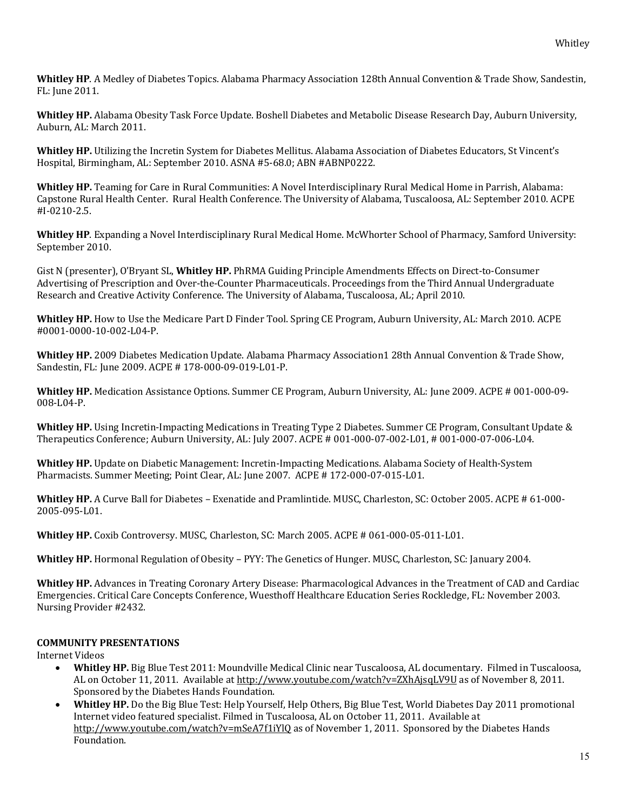Whitley HP. A Medley of Diabetes Topics. Alabama Pharmacy Association 128th Annual Convention & Trade Show, Sandestin, FL: June 2011.

**Whitley HP.** Alabama Obesity Task Force Update. Boshell Diabetes and Metabolic Disease Research Day, Auburn University, Auburn, AL: March 2011.

Whitley HP. Utilizing the Incretin System for Diabetes Mellitus. Alabama Association of Diabetes Educators, St Vincent's Hospital, Birmingham, AL: September 2010. ASNA #5-68.0; ABN #ABNP0222.

**Whitley HP.** Teaming for Care in Rural Communities: A Novel Interdisciplinary Rural Medical Home in Parrish, Alabama: Capstone Rural Health Center. Rural Health Conference. The University of Alabama, Tuscaloosa, AL: September 2010. ACPE #I-0210-2.5.

**Whitley HP**. Expanding a Novel Interdisciplinary Rural Medical Home. McWhorter School of Pharmacy, Samford University: September 2010.

Gist N (presenter), O'Bryant SL, Whitley HP. PhRMA Guiding Principle Amendments Effects on Direct-to-Consumer Advertising of Prescription and Over-the-Counter Pharmaceuticals. Proceedings from the Third Annual Undergraduate Research and Creative Activity Conference. The University of Alabama, Tuscaloosa, AL; April 2010.

**Whitley HP.** How to Use the Medicare Part D Finder Tool. Spring CE Program, Auburn University, AL: March 2010. ACPE #0001-0000-10-002-L04-P.

Whitley HP. 2009 Diabetes Medication Update. Alabama Pharmacy Association1 28th Annual Convention & Trade Show, Sandestin, FL: June 2009. ACPE # 178-000-09-019-L01-P.

**Whitley HP.** Medication Assistance Options. Summer CE Program, Auburn University, AL: June 2009. ACPE # 001-000-09-008-L04-P.

**Whitley HP.** Using Incretin-Impacting Medications in Treating Type 2 Diabetes. Summer CE Program, Consultant Update & Therapeutics Conference; Auburn University, AL: July 2007. ACPE # 001-000-07-002-L01, # 001-000-07-006-L04.

**Whitley HP.** Update on Diabetic Management: Incretin-Impacting Medications. Alabama Society of Health-System Pharmacists. Summer Meeting; Point Clear, AL: June 2007. ACPE # 172-000-07-015-L01.

Whitley HP. A Curve Ball for Diabetes – Exenatide and Pramlintide. MUSC, Charleston, SC: October 2005. ACPE # 61-000-2005-095-L01.

**Whitley HP.** Coxib Controversy. MUSC, Charleston, SC: March 2005. ACPE # 061-000-05-011-L01.

**Whitley HP.** Hormonal Regulation of Obesity – PYY: The Genetics of Hunger. MUSC, Charleston, SC: January 2004.

**Whitley HP.** Advances in Treating Coronary Artery Disease: Pharmacological Advances in the Treatment of CAD and Cardiac Emergencies. Critical Care Concepts Conference, Wuesthoff Healthcare Education Series Rockledge, FL: November 2003. Nursing Provider #2432.

#### **COMMUNITY PRESENTATIONS**

**Internet Videos** 

- **Whitley HP.** Big Blue Test 2011: Moundville Medical Clinic near Tuscaloosa, AL documentary. Filmed in Tuscaloosa, AL on October 11, 2011. Available at http://www.youtube.com/watch?v=ZXhAjsqLV9U as of November 8, 2011. Sponsored by the Diabetes Hands Foundation.
- **Whitley HP.** Do the Big Blue Test: Help Yourself, Help Others, Big Blue Test, World Diabetes Day 2011 promotional Internet video featured specialist. Filmed in Tuscaloosa, AL on October 11, 2011. Available at http://www.youtube.com/watch?v=mSeA7f1iYlQ as of November 1, 2011. Sponsored by the Diabetes Hands Foundation.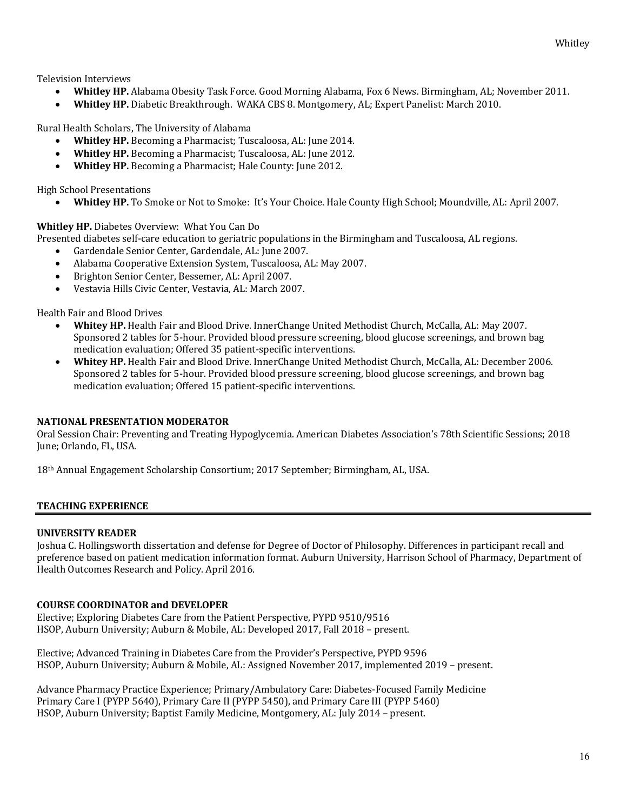Television Interviews

- **Whitley HP.** Alabama Obesity Task Force. Good Morning Alabama, Fox 6 News. Birmingham, AL; November 2011.
- **Whitley HP.** Diabetic Breakthrough. WAKA CBS 8. Montgomery, AL; Expert Panelist: March 2010.

Rural Health Scholars, The University of Alabama

- **Whitley HP.** Becoming a Pharmacist; Tuscaloosa, AL: June 2014.
- Whitley HP. Becoming a Pharmacist; Tuscaloosa, AL: June 2012.
- Whitley HP. Becoming a Pharmacist; Hale County: June 2012.

High School Presentations

Whitley HP. To Smoke or Not to Smoke: It's Your Choice. Hale County High School; Moundville, AL: April 2007.

**Whitley HP.** Diabetes Overview: What You Can Do

Presented diabetes self-care education to geriatric populations in the Birmingham and Tuscaloosa, AL regions.

- Gardendale Senior Center, Gardendale, AL: June 2007.
- Alabama Cooperative Extension System, Tuscaloosa, AL: May 2007.
- Brighton Senior Center, Bessemer, AL: April 2007.
- Vestavia Hills Civic Center, Vestavia, AL: March 2007.

Health Fair and Blood Drives

- **Whitey HP.** Health Fair and Blood Drive. InnerChange United Methodist Church, McCalla, AL: May 2007. Sponsored 2 tables for 5-hour. Provided blood pressure screening, blood glucose screenings, and brown bag medication evaluation; Offered 35 patient-specific interventions.
- **Whitey HP.** Health Fair and Blood Drive. InnerChange United Methodist Church, McCalla, AL: December 2006. Sponsored 2 tables for 5-hour. Provided blood pressure screening, blood glucose screenings, and brown bag medication evaluation; Offered 15 patient-specific interventions.

## **NATIONAL PRESENTATION MODERATOR**

Oral Session Chair: Preventing and Treating Hypoglycemia. American Diabetes Association's 78th Scientific Sessions; 2018 June; Orlando, FL, USA.

18<sup>th</sup> Annual Engagement Scholarship Consortium; 2017 September; Birmingham, AL, USA.

## **TEACHING EXPERIENCE**

#### **UNIVERSITY READER**

Joshua C. Hollingsworth dissertation and defense for Degree of Doctor of Philosophy. Differences in participant recall and preference based on patient medication information format. Auburn University, Harrison School of Pharmacy, Department of Health Outcomes Research and Policy. April 2016.

## **COURSE COORDINATOR and DEVELOPER**

Elective; Exploring Diabetes Care from the Patient Perspective, PYPD 9510/9516 HSOP, Auburn University; Auburn & Mobile, AL: Developed 2017, Fall 2018 – present.

Elective; Advanced Training in Diabetes Care from the Provider's Perspective, PYPD 9596 HSOP, Auburn University; Auburn & Mobile, AL: Assigned November 2017, implemented 2019 - present.

Advance Pharmacy Practice Experience; Primary/Ambulatory Care: Diabetes-Focused Family Medicine Primary Care I (PYPP 5640), Primary Care II (PYPP 5450), and Primary Care III (PYPP 5460) HSOP, Auburn University; Baptist Family Medicine, Montgomery, AL: July 2014 – present.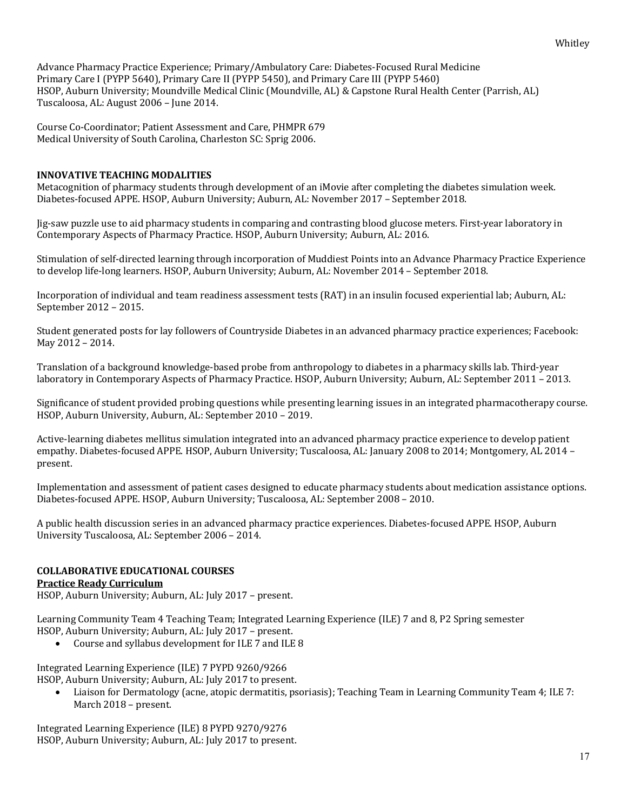Advance Pharmacy Practice Experience; Primary/Ambulatory Care: Diabetes-Focused Rural Medicine Primary Care I (PYPP 5640), Primary Care II (PYPP 5450), and Primary Care III (PYPP 5460) HSOP, Auburn University; Moundville Medical Clinic (Moundville, AL) & Capstone Rural Health Center (Parrish, AL) Tuscaloosa, AL: August 2006 - June 2014.

Course Co-Coordinator; Patient Assessment and Care, PHMPR 679 Medical University of South Carolina, Charleston SC: Sprig 2006.

## **INNOVATIVE TEACHING MODALITIES**

Metacognition of pharmacy students through development of an iMovie after completing the diabetes simulation week. Diabetes-focused APPE. HSOP, Auburn University; Auburn, AL: November 2017 - September 2018.

Jig-saw puzzle use to aid pharmacy students in comparing and contrasting blood glucose meters. First-year laboratory in Contemporary Aspects of Pharmacy Practice. HSOP, Auburn University; Auburn, AL: 2016.

Stimulation of self-directed learning through incorporation of Muddiest Points into an Advance Pharmacy Practice Experience to develop life-long learners. HSOP, Auburn University; Auburn, AL: November 2014 – September 2018.

Incorporation of individual and team readiness assessment tests (RAT) in an insulin focused experiential lab; Auburn, AL: September 2012 - 2015.

Student generated posts for lay followers of Countryside Diabetes in an advanced pharmacy practice experiences; Facebook: May 2012 – 2014.

Translation of a background knowledge-based probe from anthropology to diabetes in a pharmacy skills lab. Third-year laboratory in Contemporary Aspects of Pharmacy Practice. HSOP, Auburn University; Auburn, AL: September 2011 – 2013.

Significance of student provided probing questions while presenting learning issues in an integrated pharmacotherapy course. HSOP, Auburn University, Auburn, AL: September 2010 - 2019.

Active-learning diabetes mellitus simulation integrated into an advanced pharmacy practice experience to develop patient empathy. Diabetes-focused APPE. HSOP, Auburn University; Tuscaloosa, AL: January 2008 to 2014; Montgomery, AL 2014 – present.

Implementation and assessment of patient cases designed to educate pharmacy students about medication assistance options. Diabetes-focused APPE. HSOP, Auburn University; Tuscaloosa, AL: September 2008 - 2010.

A public health discussion series in an advanced pharmacy practice experiences. Diabetes-focused APPE. HSOP, Auburn University Tuscaloosa, AL: September 2006 - 2014.

# **COLLABORATIVE EDUCATIONAL COURSES**

## **Practice Ready Curriculum**

HSOP, Auburn University; Auburn, AL: July 2017 - present.

Learning Community Team 4 Teaching Team; Integrated Learning Experience (ILE) 7 and 8, P2 Spring semester HSOP, Auburn University; Auburn, AL: July 2017 - present.

• Course and syllabus development for ILE 7 and ILE 8

Integrated Learning Experience (ILE) 7 PYPD 9260/9266

HSOP, Auburn University; Auburn, AL: July 2017 to present.

• Liaison for Dermatology (acne, atopic dermatitis, psoriasis); Teaching Team in Learning Community Team 4; ILE 7: March 2018 – present.

Integrated Learning Experience (ILE) 8 PYPD 9270/9276 HSOP, Auburn University; Auburn, AL: July 2017 to present.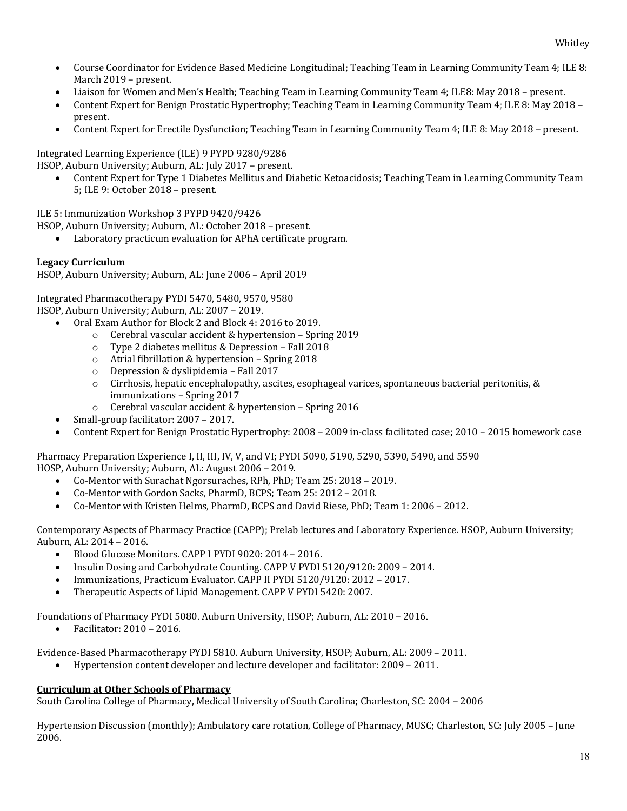- Course Coordinator for Evidence Based Medicine Longitudinal; Teaching Team in Learning Community Team 4; ILE 8: March 2019 – present.
- Liaison for Women and Men's Health; Teaching Team in Learning Community Team 4; ILE8: May 2018 present.
- Content Expert for Benign Prostatic Hypertrophy; Teaching Team in Learning Community Team 4; ILE 8: May 2018 present.
- Content Expert for Erectile Dysfunction; Teaching Team in Learning Community Team 4; ILE 8: May 2018 present.

Integrated Learning Experience (ILE) 9 PYPD 9280/9286 HSOP, Auburn University; Auburn, AL: July 2017 - present.

Content Expert for Type 1 Diabetes Mellitus and Diabetic Ketoacidosis; Teaching Team in Learning Community Team 5; ILE 9: October 2018 - present.

ILE 5: Immunization Workshop 3 PYPD 9420/9426

HSOP, Auburn University; Auburn, AL: October 2018 - present.

• Laboratory practicum evaluation for APhA certificate program.

## **Legacy Curriculum**

HSOP, Auburn University; Auburn, AL: June 2006 - April 2019

Integrated Pharmacotherapy PYDI 5470, 5480, 9570, 9580

HSOP, Auburn University; Auburn, AL: 2007 - 2019.

- Oral Exam Author for Block 2 and Block 4: 2016 to 2019.
	- $\circ$  Cerebral vascular accident & hypertension Spring 2019
	- $\circ$  Type 2 diabetes mellitus & Depression Fall 2018
	- $\circ$  Atrial fibrillation & hypertension Spring 2018
	- $\circ$  Depression & dyslipidemia Fall 2017
	- $\circ$  Cirrhosis, hepatic encephalopathy, ascites, esophageal varices, spontaneous bacterial peritonitis, & immunizations - Spring 2017
	- $\circ$  Cerebral vascular accident & hypertension Spring 2016
- Small-group facilitator: 2007 2017.
- Content Expert for Benign Prostatic Hypertrophy:  $2008 2009$  in-class facilitated case;  $2010 2015$  homework case

Pharmacy Preparation Experience I, II, III, IV, V, and VI; PYDI 5090, 5190, 5290, 5390, 5490, and 5590 HOSP, Auburn University; Auburn, AL: August 2006 - 2019.

- Co-Mentor with Surachat Ngorsuraches, RPh, PhD; Team 25: 2018 2019.
- Co-Mentor with Gordon Sacks, PharmD, BCPS; Team 25: 2012 2018.
- Co-Mentor with Kristen Helms, PharmD, BCPS and David Riese, PhD; Team 1: 2006 2012.

Contemporary Aspects of Pharmacy Practice (CAPP); Prelab lectures and Laboratory Experience. HSOP, Auburn University; Auburn, AL: 2014 - 2016.

- Blood Glucose Monitors. CAPP I PYDI 9020: 2014 2016.
- Insulin Dosing and Carbohydrate Counting. CAPP V PYDI 5120/9120: 2009 2014.
- Immunizations, Practicum Evaluator. CAPP II PYDI 5120/9120: 2012 2017.
- Therapeutic Aspects of Lipid Management. CAPP V PYDI 5420: 2007.

Foundations of Pharmacy PYDI 5080. Auburn University, HSOP; Auburn, AL: 2010 - 2016.

• Facilitator: 2010 – 2016.

Evidence-Based Pharmacotherapy PYDI 5810. Auburn University, HSOP; Auburn, AL: 2009 - 2011.

Hypertension content developer and lecture developer and facilitator: 2009 - 2011.

## **Curriculum at Other Schools of Pharmacy**

South Carolina College of Pharmacy, Medical University of South Carolina; Charleston, SC: 2004 - 2006

Hypertension Discussion (monthly); Ambulatory care rotation, College of Pharmacy, MUSC; Charleston, SC: July 2005 – June 2006.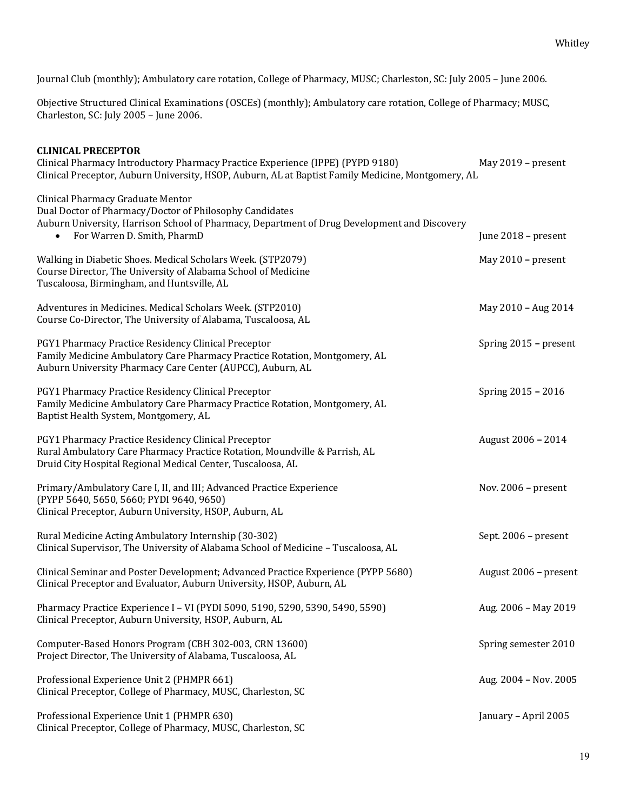Journal Club (monthly); Ambulatory care rotation, College of Pharmacy, MUSC; Charleston, SC: July 2005 - June 2006.

Objective Structured Clinical Examinations (OSCEs) (monthly); Ambulatory care rotation, College of Pharmacy; MUSC, Charleston, SC: July 2005 - June 2006.

| <b>CLINICAL PRECEPTOR</b><br>Clinical Pharmacy Introductory Pharmacy Practice Experience (IPPE) (PYPD 9180)<br>Clinical Preceptor, Auburn University, HSOP, Auburn, AL at Baptist Family Medicine, Montgomery, AL                        | May 2019 - present    |
|------------------------------------------------------------------------------------------------------------------------------------------------------------------------------------------------------------------------------------------|-----------------------|
| Clinical Pharmacy Graduate Mentor<br>Dual Doctor of Pharmacy/Doctor of Philosophy Candidates<br>Auburn University, Harrison School of Pharmacy, Department of Drug Development and Discovery<br>For Warren D. Smith, PharmD<br>$\bullet$ | June 2018 - present   |
| Walking in Diabetic Shoes. Medical Scholars Week. (STP2079)<br>Course Director, The University of Alabama School of Medicine<br>Tuscaloosa, Birmingham, and Huntsville, AL                                                               | May 2010 - present    |
| Adventures in Medicines. Medical Scholars Week. (STP2010)<br>Course Co-Director, The University of Alabama, Tuscaloosa, AL                                                                                                               | May 2010 - Aug 2014   |
| PGY1 Pharmacy Practice Residency Clinical Preceptor<br>Family Medicine Ambulatory Care Pharmacy Practice Rotation, Montgomery, AL<br>Auburn University Pharmacy Care Center (AUPCC), Auburn, AL                                          | Spring 2015 - present |
| PGY1 Pharmacy Practice Residency Clinical Preceptor<br>Family Medicine Ambulatory Care Pharmacy Practice Rotation, Montgomery, AL<br>Baptist Health System, Montgomery, AL                                                               | Spring 2015 - 2016    |
| PGY1 Pharmacy Practice Residency Clinical Preceptor<br>Rural Ambulatory Care Pharmacy Practice Rotation, Moundville & Parrish, AL<br>Druid City Hospital Regional Medical Center, Tuscaloosa, AL                                         | August 2006 - 2014    |
| Primary/Ambulatory Care I, II, and III; Advanced Practice Experience<br>(PYPP 5640, 5650, 5660; PYDI 9640, 9650)<br>Clinical Preceptor, Auburn University, HSOP, Auburn, AL                                                              | Nov. $2006$ – present |
| Rural Medicine Acting Ambulatory Internship (30-302)<br>Clinical Supervisor, The University of Alabama School of Medicine - Tuscaloosa, AL                                                                                               | Sept. 2006 - present  |
| Clinical Seminar and Poster Development; Advanced Practice Experience (PYPP 5680)<br>Clinical Preceptor and Evaluator, Auburn University, HSOP, Auburn, AL                                                                               | August 2006 - present |
| Pharmacy Practice Experience I - VI (PYDI 5090, 5190, 5290, 5390, 5490, 5590)<br>Clinical Preceptor, Auburn University, HSOP, Auburn, AL                                                                                                 | Aug. 2006 - May 2019  |
| Computer-Based Honors Program (CBH 302-003, CRN 13600)<br>Project Director, The University of Alabama, Tuscaloosa, AL                                                                                                                    | Spring semester 2010  |
| Professional Experience Unit 2 (PHMPR 661)<br>Clinical Preceptor, College of Pharmacy, MUSC, Charleston, SC                                                                                                                              | Aug. 2004 - Nov. 2005 |
| Professional Experience Unit 1 (PHMPR 630)<br>Clinical Preceptor, College of Pharmacy, MUSC, Charleston, SC                                                                                                                              | January - April 2005  |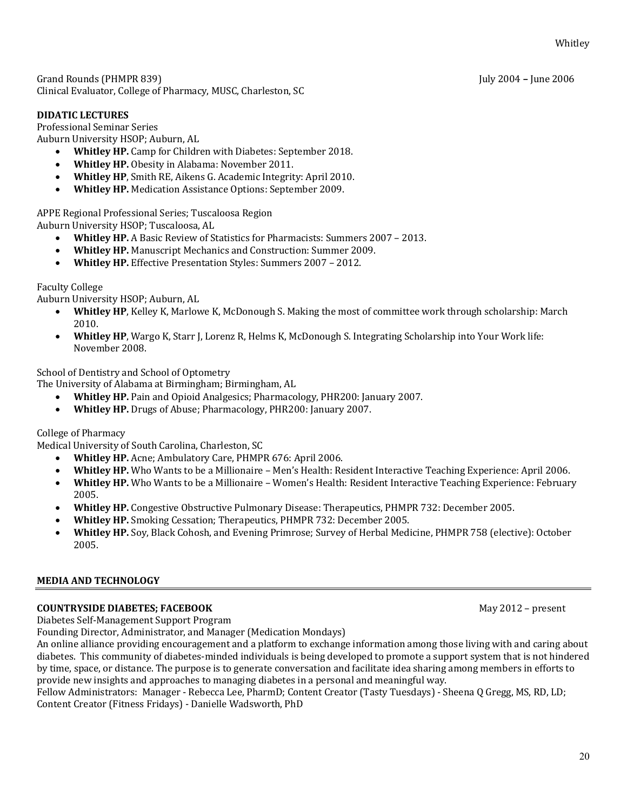Grand Rounds (PHMPR 839) **Fig. 2006** – July 2004 – June 2006 Clinical Evaluator, College of Pharmacy, MUSC, Charleston, SC

## **DIDATIC LECTURES**

Professional Seminar Series

Auburn University HSOP; Auburn, AL

- Whitley HP. Camp for Children with Diabetes: September 2018.
- Whitley HP. Obesity in Alabama: November 2011.
- Whitley HP, Smith RE, Aikens G. Academic Integrity: April 2010.
- Whitley HP. Medication Assistance Options: September 2009.

APPE Regional Professional Series; Tuscaloosa Region

Auburn University HSOP; Tuscaloosa, AL

- **Whitley HP.** A Basic Review of Statistics for Pharmacists: Summers 2007 2013.
- **Whitley HP.** Manuscript Mechanics and Construction: Summer 2009.
- **Whitley HP.** Effective Presentation Styles: Summers 2007 2012.

## Faculty College

Auburn University HSOP; Auburn, AL

- **Whitley HP**, Kelley K, Marlowe K, McDonough S. Making the most of committee work through scholarship: March 2010.
- Whitley HP, Wargo K, Starr J, Lorenz R, Helms K, McDonough S. Integrating Scholarship into Your Work life: November 2008.

School of Dentistry and School of Optometry

The University of Alabama at Birmingham; Birmingham, AL

- **Whitley HP.** Pain and Opioid Analgesics; Pharmacology, PHR200: January 2007.
- **Whitley HP.** Drugs of Abuse; Pharmacology, PHR200: January 2007.

College of Pharmacy

Medical University of South Carolina, Charleston, SC

- Whitley HP. Acne; Ambulatory Care, PHMPR 676: April 2006.
- Whitley HP. Who Wants to be a Millionaire Men's Health: Resident Interactive Teaching Experience: April 2006.
- **Whitley HP.** Who Wants to be a Millionaire Women's Health: Resident Interactive Teaching Experience: February 2005.
- Whitley HP. Congestive Obstructive Pulmonary Disease: Therapeutics, PHMPR 732: December 2005.
- **Whitley HP.** Smoking Cessation; Therapeutics, PHMPR 732: December 2005.
- **Whitley HP.** Soy, Black Cohosh, and Evening Primrose; Survey of Herbal Medicine, PHMPR 758 (elective): October 2005.

## **MEDIA AND TECHNOLOGY**

## **COUNTRYSIDE DIABETES; FACEBOOK** May 2012 – present

Diabetes Self-Management Support Program

Founding Director, Administrator, and Manager (Medication Mondays)

An online alliance providing encouragement and a platform to exchange information among those living with and caring about diabetes. This community of diabetes-minded individuals is being developed to promote a support system that is not hindered by time, space, or distance. The purpose is to generate conversation and facilitate idea sharing among members in efforts to provide new insights and approaches to managing diabetes in a personal and meaningful way.

Fellow Administrators: Manager - Rebecca Lee, PharmD; Content Creator (Tasty Tuesdays) - Sheena Q Gregg, MS, RD, LD; Content Creator (Fitness Fridays) - Danielle Wadsworth, PhD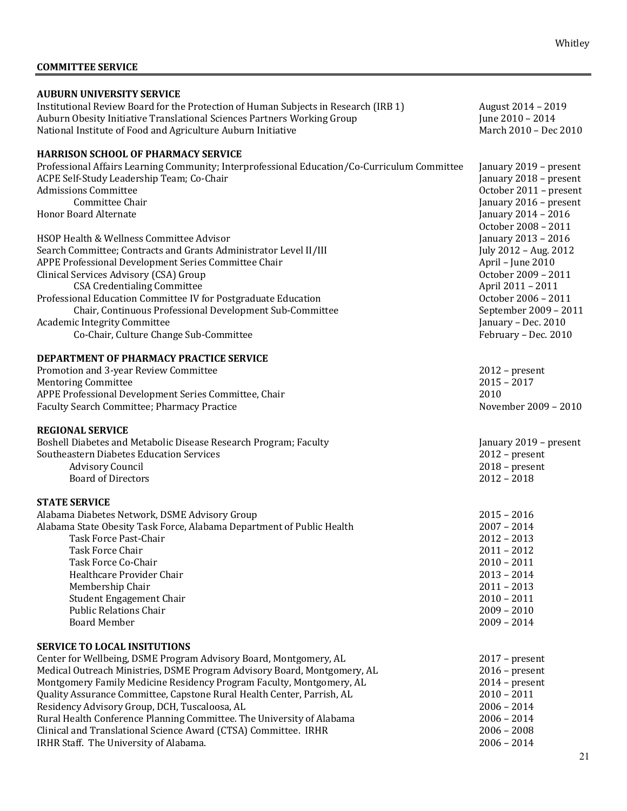# **COMMITTEE SERVICE**

| <b>AUBURN UNIVERSITY SERVICE</b>                                                             |                        |
|----------------------------------------------------------------------------------------------|------------------------|
| Institutional Review Board for the Protection of Human Subjects in Research (IRB 1)          | August 2014 - 2019     |
| Auburn Obesity Initiative Translational Sciences Partners Working Group                      | June 2010 - 2014       |
| National Institute of Food and Agriculture Auburn Initiative                                 | March 2010 - Dec 2010  |
|                                                                                              |                        |
| <b>HARRISON SCHOOL OF PHARMACY SERVICE</b>                                                   |                        |
| Professional Affairs Learning Community; Interprofessional Education/Co-Curriculum Committee | January 2019 - present |
| ACPE Self-Study Leadership Team; Co-Chair                                                    | January 2018 - present |
| <b>Admissions Committee</b>                                                                  |                        |
| <b>Committee Chair</b>                                                                       | October 2011 - present |
|                                                                                              | January 2016 - present |
| <b>Honor Board Alternate</b>                                                                 | January 2014 - 2016    |
|                                                                                              | October 2008 - 2011    |
| HSOP Health & Wellness Committee Advisor                                                     | January 2013 - 2016    |
| Search Committee; Contracts and Grants Administrator Level II/III                            | July 2012 - Aug. 2012  |
| APPE Professional Development Series Committee Chair                                         | April - June 2010      |
| Clinical Services Advisory (CSA) Group                                                       | October 2009 - 2011    |
| <b>CSA Credentialing Committee</b>                                                           | April 2011 - 2011      |
| Professional Education Committee IV for Postgraduate Education                               | October 2006 - 2011    |
| Chair, Continuous Professional Development Sub-Committee                                     | September 2009 - 2011  |
| <b>Academic Integrity Committee</b>                                                          | January - Dec. 2010    |
| Co-Chair, Culture Change Sub-Committee                                                       | February - Dec. 2010   |
|                                                                                              |                        |
| DEPARTMENT OF PHARMACY PRACTICE SERVICE                                                      |                        |
| Promotion and 3-year Review Committee                                                        | $2012$ – present       |
| <b>Mentoring Committee</b>                                                                   | $2015 - 2017$          |
| APPE Professional Development Series Committee, Chair                                        | 2010                   |
| Faculty Search Committee; Pharmacy Practice                                                  | November 2009 - 2010   |
|                                                                                              |                        |
| <b>REGIONAL SERVICE</b>                                                                      |                        |
| Boshell Diabetes and Metabolic Disease Research Program; Faculty                             | January 2019 - present |
| <b>Southeastern Diabetes Education Services</b>                                              | $2012$ – present       |
| <b>Advisory Council</b>                                                                      | $2018$ – present       |
| <b>Board of Directors</b>                                                                    | $2012 - 2018$          |
|                                                                                              |                        |
| <b>STATE SERVICE</b>                                                                         |                        |
| Alabama Diabetes Network, DSME Advisory Group                                                | $2015 - 2016$          |
| Alabama State Obesity Task Force, Alabama Department of Public Health                        | $2007 - 2014$          |
| Task Force Past-Chair                                                                        | $2012 - 2013$          |
|                                                                                              |                        |
| Task Force Chair                                                                             | $2011 - 2012$          |
| Task Force Co-Chair                                                                          | $2010 - 2011$          |
| Healthcare Provider Chair                                                                    | $2013 - 2014$          |
| Membership Chair                                                                             | $2011 - 2013$          |
| Student Engagement Chair                                                                     | $2010 - 2011$          |
| <b>Public Relations Chair</b>                                                                | $2009 - 2010$          |
| <b>Board Member</b>                                                                          | $2009 - 2014$          |
|                                                                                              |                        |
| <b>SERVICE TO LOCAL INSITUTIONS</b>                                                          |                        |
| Center for Wellbeing, DSME Program Advisory Board, Montgomery, AL                            | $2017$ – present       |
| Medical Outreach Ministries, DSME Program Advisory Board, Montgomery, AL                     | $2016$ – present       |
| Montgomery Family Medicine Residency Program Faculty, Montgomery, AL                         | $2014$ – present       |
| Quality Assurance Committee, Capstone Rural Health Center, Parrish, AL                       | $2010 - 2011$          |
| Residency Advisory Group, DCH, Tuscaloosa, AL                                                | $2006 - 2014$          |
| Rural Health Conference Planning Committee. The University of Alabama                        | $2006 - 2014$          |
| Clinical and Translational Science Award (CTSA) Committee. IRHR                              | $2006 - 2008$          |
| IRHR Staff. The University of Alabama.                                                       | $2006 - 2014$          |
|                                                                                              |                        |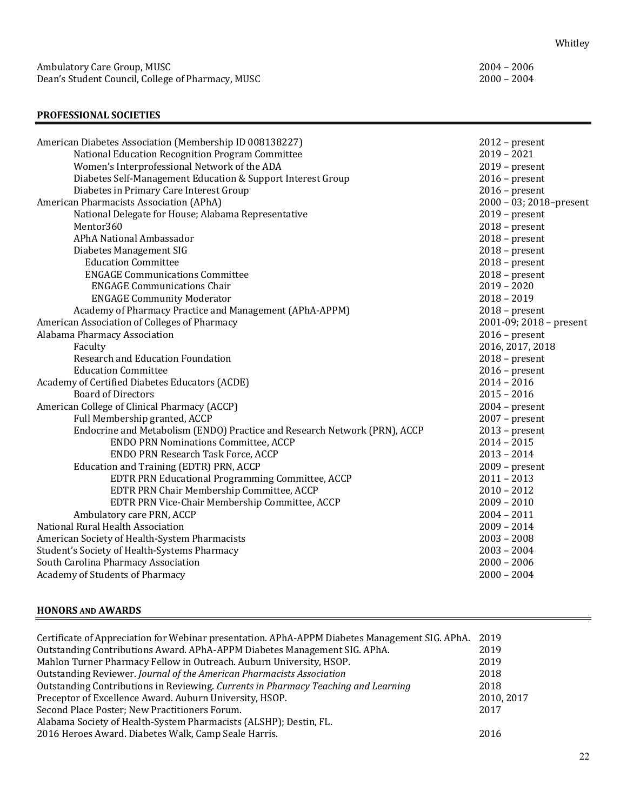## **PROFESSIONAL SOCIETIES**

| American Diabetes Association (Membership ID 008138227)                   | $2012$ – present        |
|---------------------------------------------------------------------------|-------------------------|
| National Education Recognition Program Committee                          | $2019 - 2021$           |
| Women's Interprofessional Network of the ADA                              | $2019$ – present        |
| Diabetes Self-Management Education & Support Interest Group               | $2016$ – present        |
| Diabetes in Primary Care Interest Group                                   | $2016$ – present        |
| American Pharmacists Association (APhA)                                   | 2000 - 03; 2018-present |
| National Delegate for House; Alabama Representative                       | $2019$ – present        |
| Mentor360                                                                 | $2018$ – present        |
| APhA National Ambassador                                                  | $2018$ – present        |
| Diabetes Management SIG                                                   | $2018$ – present        |
| <b>Education Committee</b>                                                | $2018$ – present        |
| <b>ENGAGE Communications Committee</b>                                    | $2018$ – present        |
| <b>ENGAGE Communications Chair</b>                                        | $2019 - 2020$           |
| <b>ENGAGE Community Moderator</b>                                         | $2018 - 2019$           |
| Academy of Pharmacy Practice and Management (APhA-APPM)                   | $2018$ – present        |
| American Association of Colleges of Pharmacy                              | 2001-09; 2018 - present |
| Alabama Pharmacy Association                                              | $2016$ – present        |
| Faculty                                                                   | 2016, 2017, 2018        |
| Research and Education Foundation                                         | $2018$ – present        |
| <b>Education Committee</b>                                                | $2016$ – present        |
| Academy of Certified Diabetes Educators (ACDE)                            | $2014 - 2016$           |
| <b>Board of Directors</b>                                                 | $2015 - 2016$           |
| American College of Clinical Pharmacy (ACCP)                              | $2004$ – present        |
| Full Membership granted, ACCP                                             | $2007$ – present        |
| Endocrine and Metabolism (ENDO) Practice and Research Network (PRN), ACCP | $2013$ – present        |
| <b>ENDO PRN Nominations Committee, ACCP</b>                               | $2014 - 2015$           |
| ENDO PRN Research Task Force, ACCP                                        | $2013 - 2014$           |
| Education and Training (EDTR) PRN, ACCP                                   | $2009$ – present        |
| EDTR PRN Educational Programming Committee, ACCP                          | $2011 - 2013$           |
| EDTR PRN Chair Membership Committee, ACCP                                 | $2010 - 2012$           |
| EDTR PRN Vice-Chair Membership Committee, ACCP                            | $2009 - 2010$           |
| Ambulatory care PRN, ACCP                                                 | $2004 - 2011$           |
| National Rural Health Association                                         | $2009 - 2014$           |
| American Society of Health-System Pharmacists                             | $2003 - 2008$           |
| Student's Society of Health-Systems Pharmacy                              | $2003 - 2004$           |
| South Carolina Pharmacy Association                                       | $2000 - 2006$           |
| Academy of Students of Pharmacy                                           | $2000 - 2004$           |
|                                                                           |                         |

## **HONORS AND AWARDS**

| Certificate of Appreciation for Webinar presentation. APhA-APPM Diabetes Management SIG. APhA. | 2019      |
|------------------------------------------------------------------------------------------------|-----------|
| Outstanding Contributions Award. APhA-APPM Diabetes Management SIG. APhA.                      | 2019      |
| Mahlon Turner Pharmacy Fellow in Outreach. Auburn University, HSOP.                            | 2019      |
| Outstanding Reviewer. Journal of the American Pharmacists Association                          | 2018      |
| Outstanding Contributions in Reviewing. Currents in Pharmacy Teaching and Learning             | 2018      |
| Preceptor of Excellence Award. Auburn University, HSOP.                                        | 2010.2017 |
| Second Place Poster; New Practitioners Forum.                                                  | 2017      |
| Alabama Society of Health-System Pharmacists (ALSHP); Destin, FL.                              |           |
| 2016 Heroes Award. Diabetes Walk, Camp Seale Harris.                                           | 2016      |
|                                                                                                |           |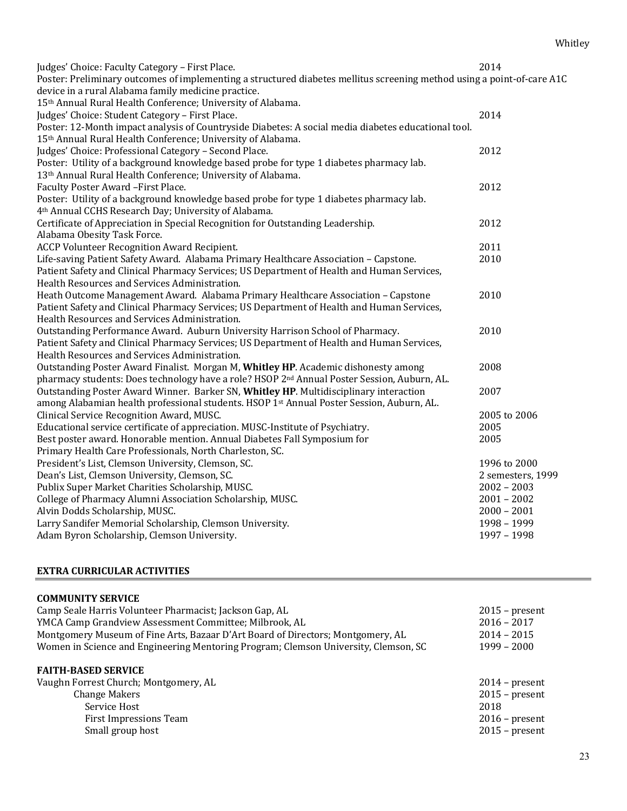| Judges' Choice: Faculty Category - First Place.<br>Poster: Preliminary outcomes of implementing a structured diabetes mellitus screening method using a point-of-care A1C<br>device in a rural Alabama family medicine practice.                                                                                   | 2014                                                                                 |
|--------------------------------------------------------------------------------------------------------------------------------------------------------------------------------------------------------------------------------------------------------------------------------------------------------------------|--------------------------------------------------------------------------------------|
| 15th Annual Rural Health Conference; University of Alabama.<br>Judges' Choice: Student Category - First Place.<br>Poster: 12-Month impact analysis of Countryside Diabetes: A social media diabetes educational tool.                                                                                              | 2014                                                                                 |
| 15th Annual Rural Health Conference; University of Alabama.<br>Judges' Choice: Professional Category - Second Place.<br>Poster: Utility of a background knowledge based probe for type 1 diabetes pharmacy lab.                                                                                                    | 2012                                                                                 |
| 13th Annual Rural Health Conference; University of Alabama.<br>Faculty Poster Award - First Place.                                                                                                                                                                                                                 | 2012                                                                                 |
| Poster: Utility of a background knowledge based probe for type 1 diabetes pharmacy lab.<br>4th Annual CCHS Research Day; University of Alabama.<br>Certificate of Appreciation in Special Recognition for Outstanding Leadership.                                                                                  | 2012                                                                                 |
| Alabama Obesity Task Force.<br><b>ACCP Volunteer Recognition Award Recipient.</b><br>Life-saving Patient Safety Award. Alabama Primary Healthcare Association - Capstone.                                                                                                                                          | 2011<br>2010                                                                         |
| Patient Safety and Clinical Pharmacy Services; US Department of Health and Human Services,<br>Health Resources and Services Administration.                                                                                                                                                                        |                                                                                      |
| Heath Outcome Management Award. Alabama Primary Healthcare Association - Capstone<br>Patient Safety and Clinical Pharmacy Services; US Department of Health and Human Services,<br>Health Resources and Services Administration.                                                                                   | 2010                                                                                 |
| Outstanding Performance Award. Auburn University Harrison School of Pharmacy.<br>Patient Safety and Clinical Pharmacy Services; US Department of Health and Human Services,<br>Health Resources and Services Administration.                                                                                       | 2010                                                                                 |
| Outstanding Poster Award Finalist. Morgan M, Whitley HP. Academic dishonesty among<br>pharmacy students: Does technology have a role? HSOP 2 <sup>nd</sup> Annual Poster Session, Auburn, AL.                                                                                                                      | 2008                                                                                 |
| Outstanding Poster Award Winner. Barker SN, Whitley HP. Multidisciplinary interaction<br>among Alabamian health professional students. HSOP 1st Annual Poster Session, Auburn, AL.<br>Clinical Service Recognition Award, MUSC.                                                                                    | 2007<br>2005 to 2006                                                                 |
| Educational service certificate of appreciation. MUSC-Institute of Psychiatry.<br>Best poster award. Honorable mention. Annual Diabetes Fall Symposium for                                                                                                                                                         | 2005<br>2005                                                                         |
| Primary Health Care Professionals, North Charleston, SC.<br>President's List, Clemson University, Clemson, SC.<br>Dean's List, Clemson University, Clemson, SC.<br>Publix Super Market Charities Scholarship, MUSC.<br>College of Pharmacy Alumni Association Scholarship, MUSC.<br>Alvin Dodds Scholarship, MUSC. | 1996 to 2000<br>2 semesters, 1999<br>$2002 - 2003$<br>$2001 - 2002$<br>$2000 - 2001$ |
| Larry Sandifer Memorial Scholarship, Clemson University.<br>Adam Byron Scholarship, Clemson University.                                                                                                                                                                                                            | 1998 - 1999<br>1997 - 1998                                                           |

#### **EXTRA CURRICULAR ACTIVITIES**

## **COMMUNITY SERVICE**

| Camp Seale Harris Volunteer Pharmacist; Jackson Gap, AL                             | $2015$ – present |
|-------------------------------------------------------------------------------------|------------------|
| YMCA Camp Grandview Assessment Committee; Milbrook, AL                              | $2016 - 2017$    |
| Montgomery Museum of Fine Arts, Bazaar D'Art Board of Directors; Montgomery, AL     | $2014 - 2015$    |
| Women in Science and Engineering Mentoring Program; Clemson University, Clemson, SC | $1999 - 2000$    |
| <b>FAITH-BASED SERVICE</b><br>Vaughn Forrest Church; Montgomery, AL                 | $2014$ – present |
| <b>Change Makers</b>                                                                | $2015$ – present |
| Service Host                                                                        | 2018             |
| First Impressions Team                                                              | $2016$ – present |
| Small group host                                                                    | $2015$ – present |